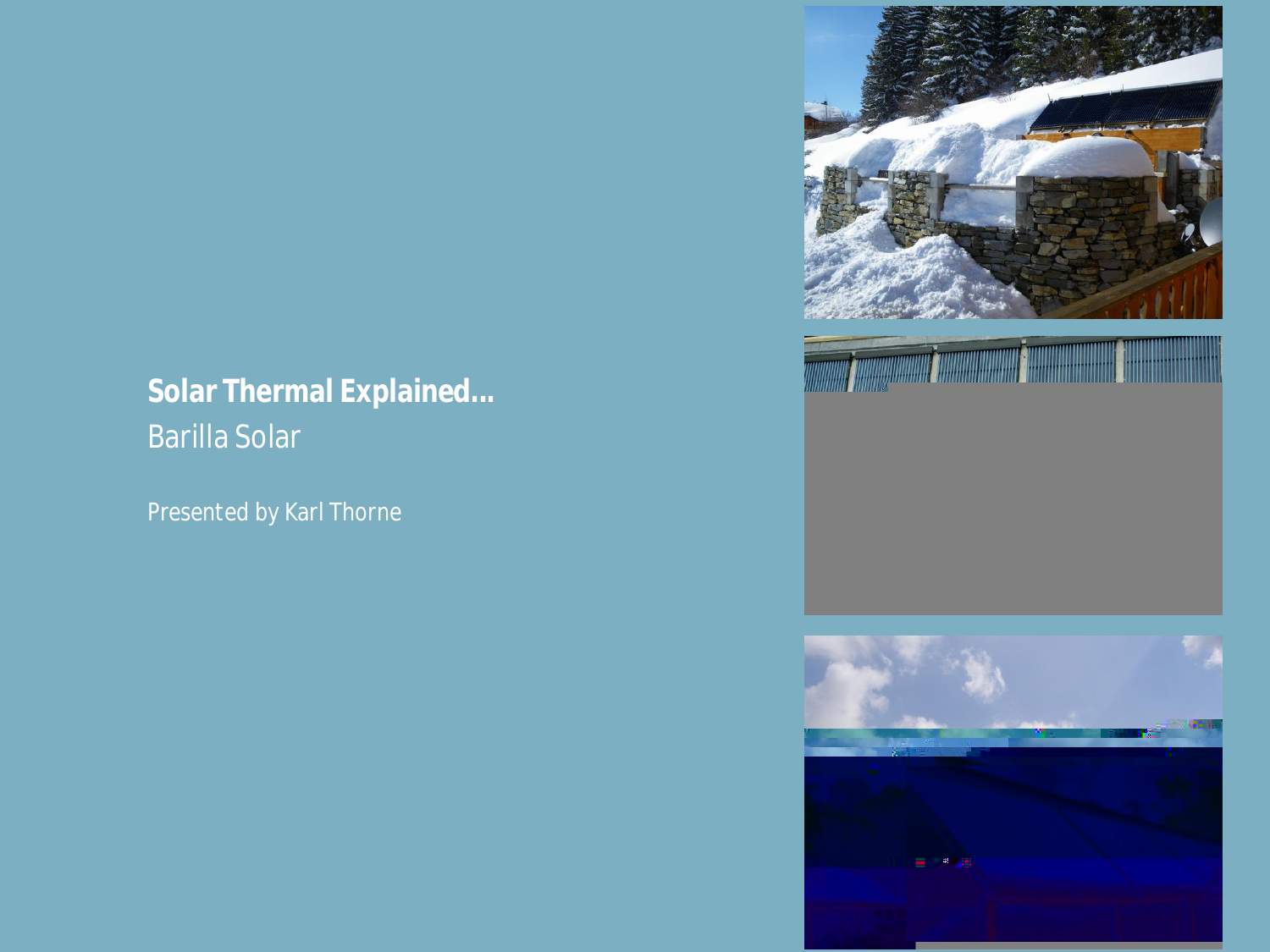*Solar Thermal Explained... Barilla Solar*

*Presented by Karl Thorne*



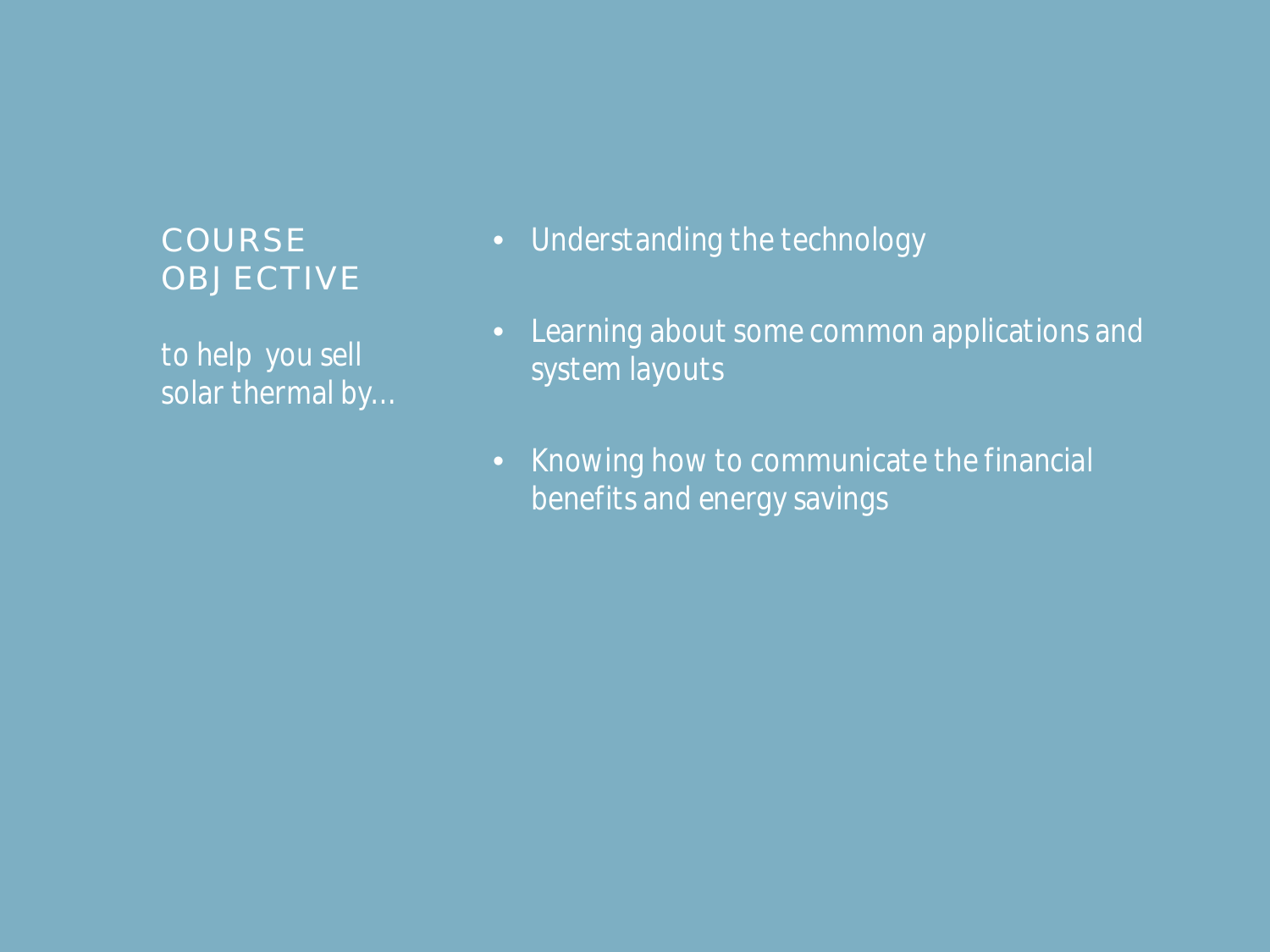# **COURSE OBJECTIVE**

*to help you sell solar thermal by…*

- *Understanding the technology*
- *Learning about some common applications and system layouts*
- *Knowing how to communicate the financial benefits and energy savings*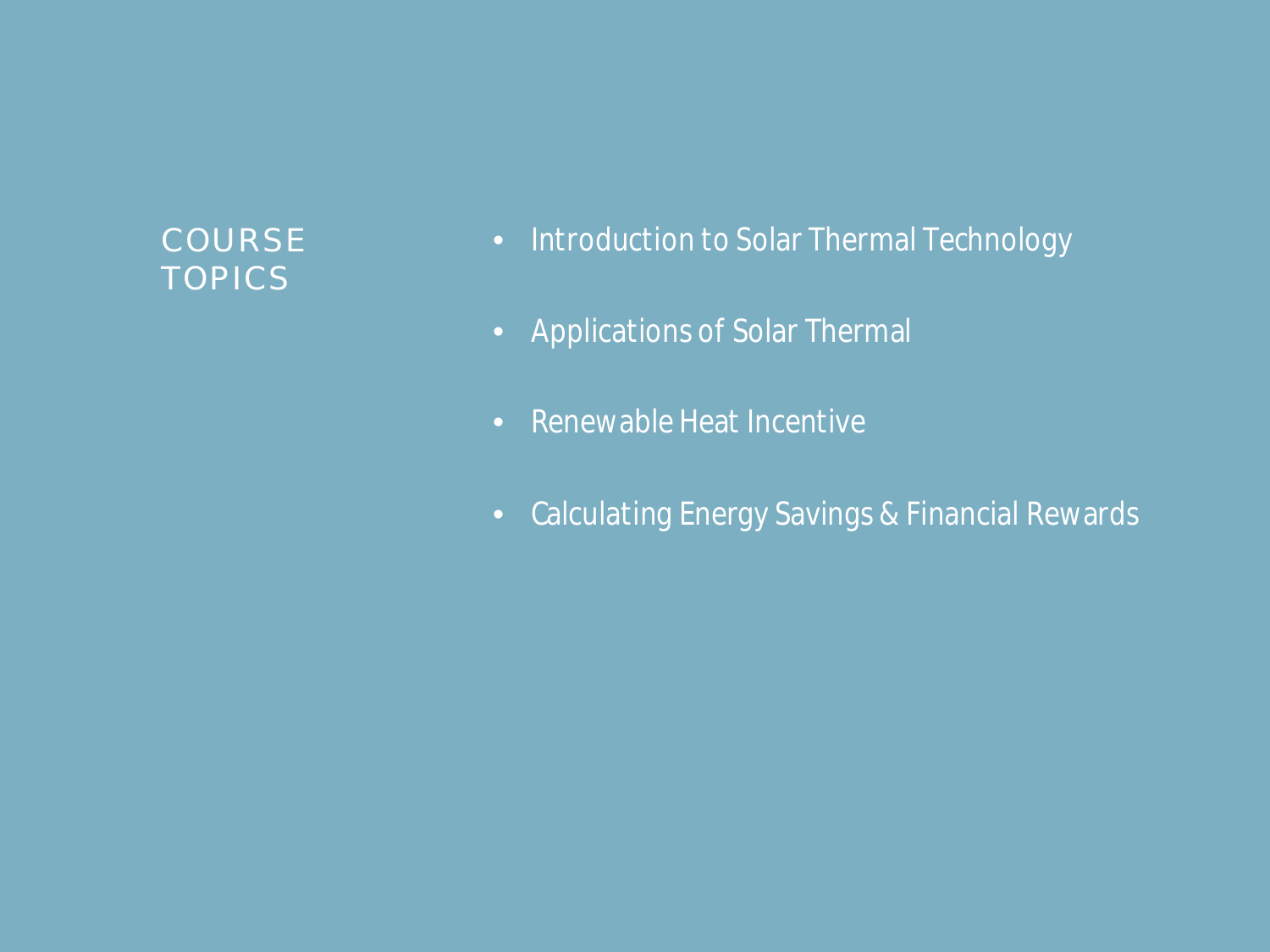# **COURSE TOPICS**

- *Introduction to Solar Thermal Technology*
- *Applications of Solar Thermal*
- *Renewable Heat Incentive*
- *Calculating Energy Savings & Financial Rewards*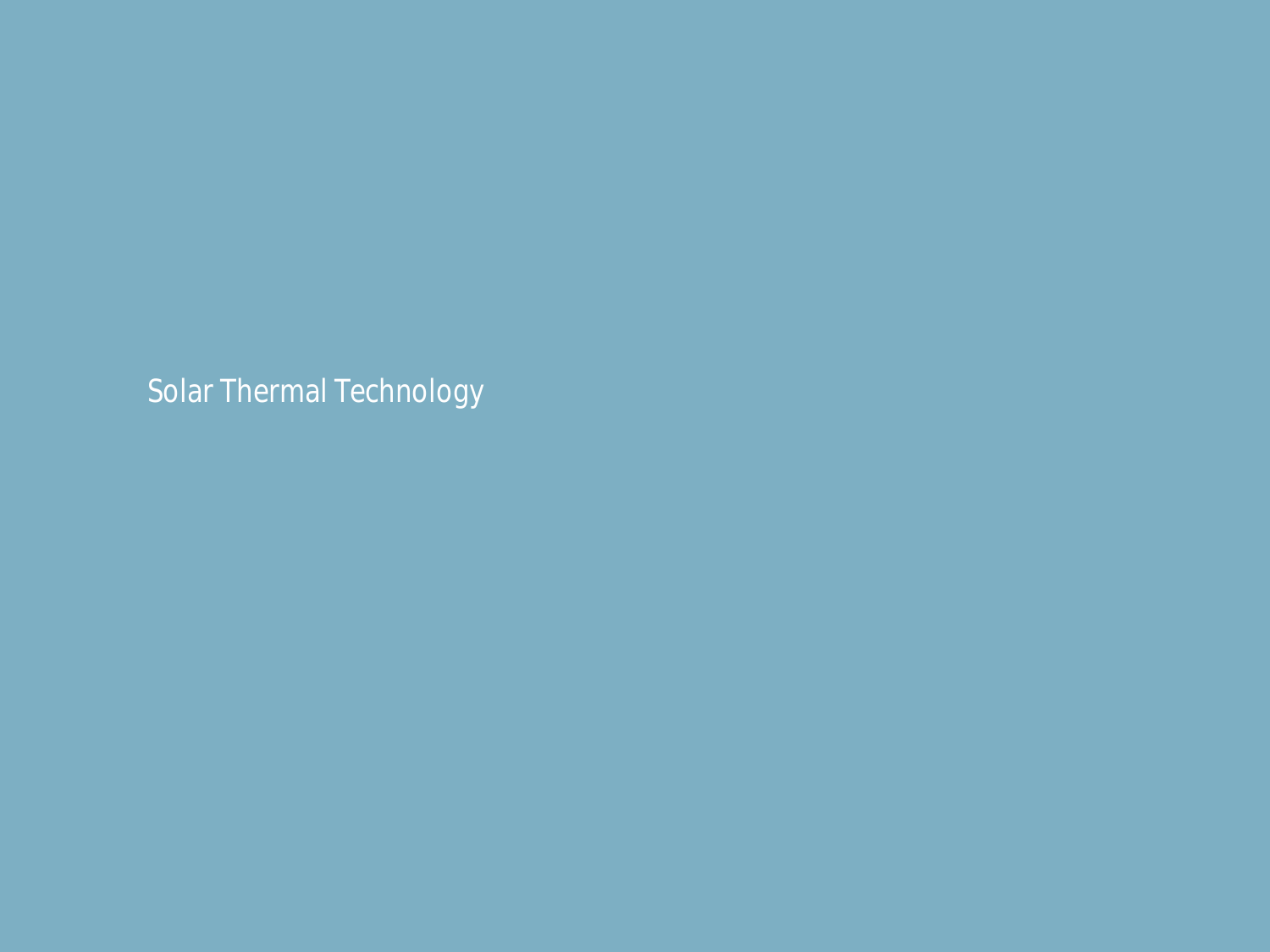*Solar Thermal Technology*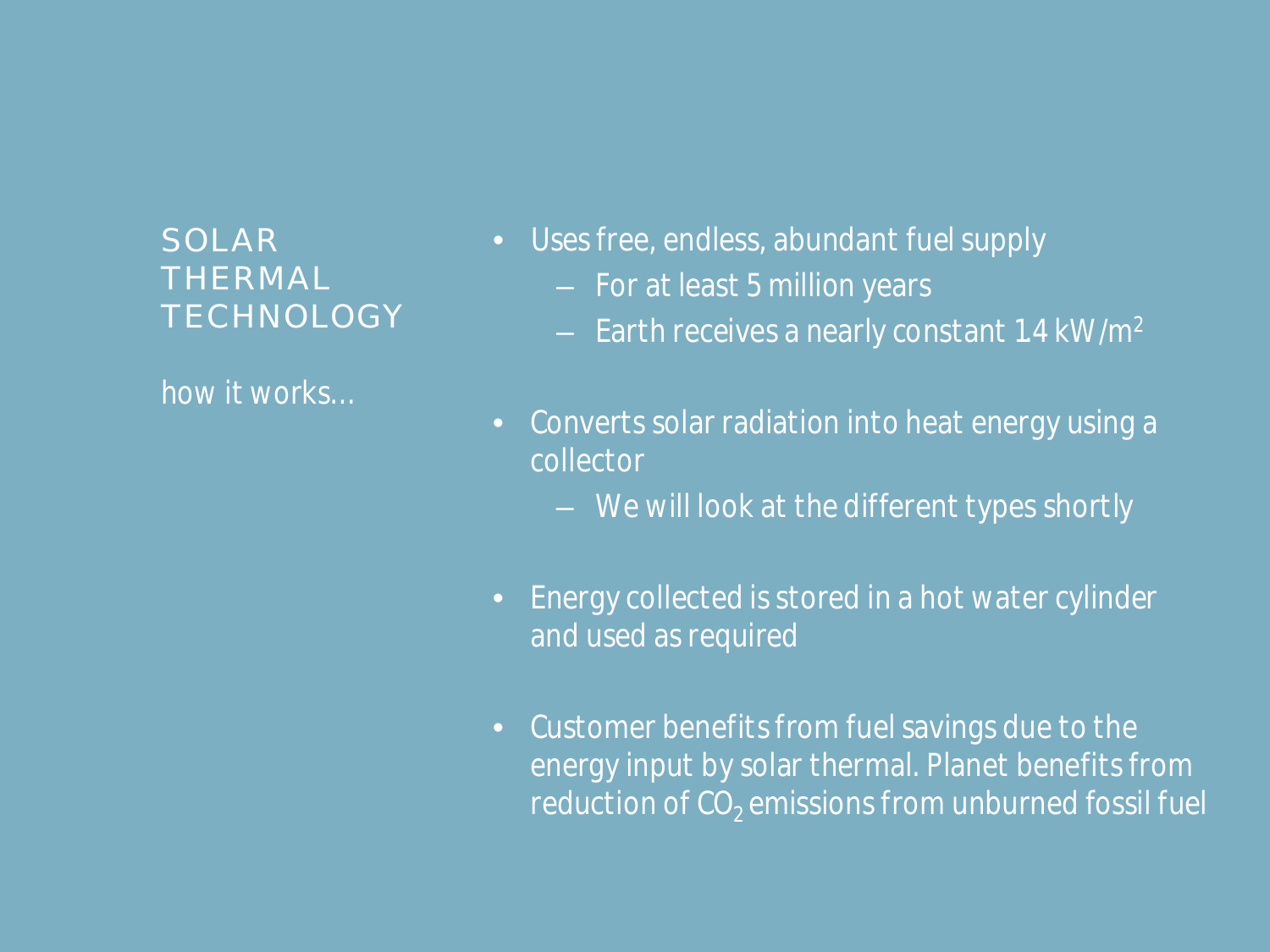*how it works…*

- *Uses free, endless, abundant fuel supply*
	- *For at least 5 million years*
	- *Earth receives a nearly constant 1.4 kW/m<sup>2</sup>*
- *Converts solar radiation into heat energy using a collector*
	- *We will look at the different types shortly*
- *Energy collected is stored in a hot water cylinder and used as required*
- *Customer benefits from fuel savings due to the energy input by solar thermal. Planet benefits from reduction of CO<sup>2</sup> emissions from unburned fossil fuel*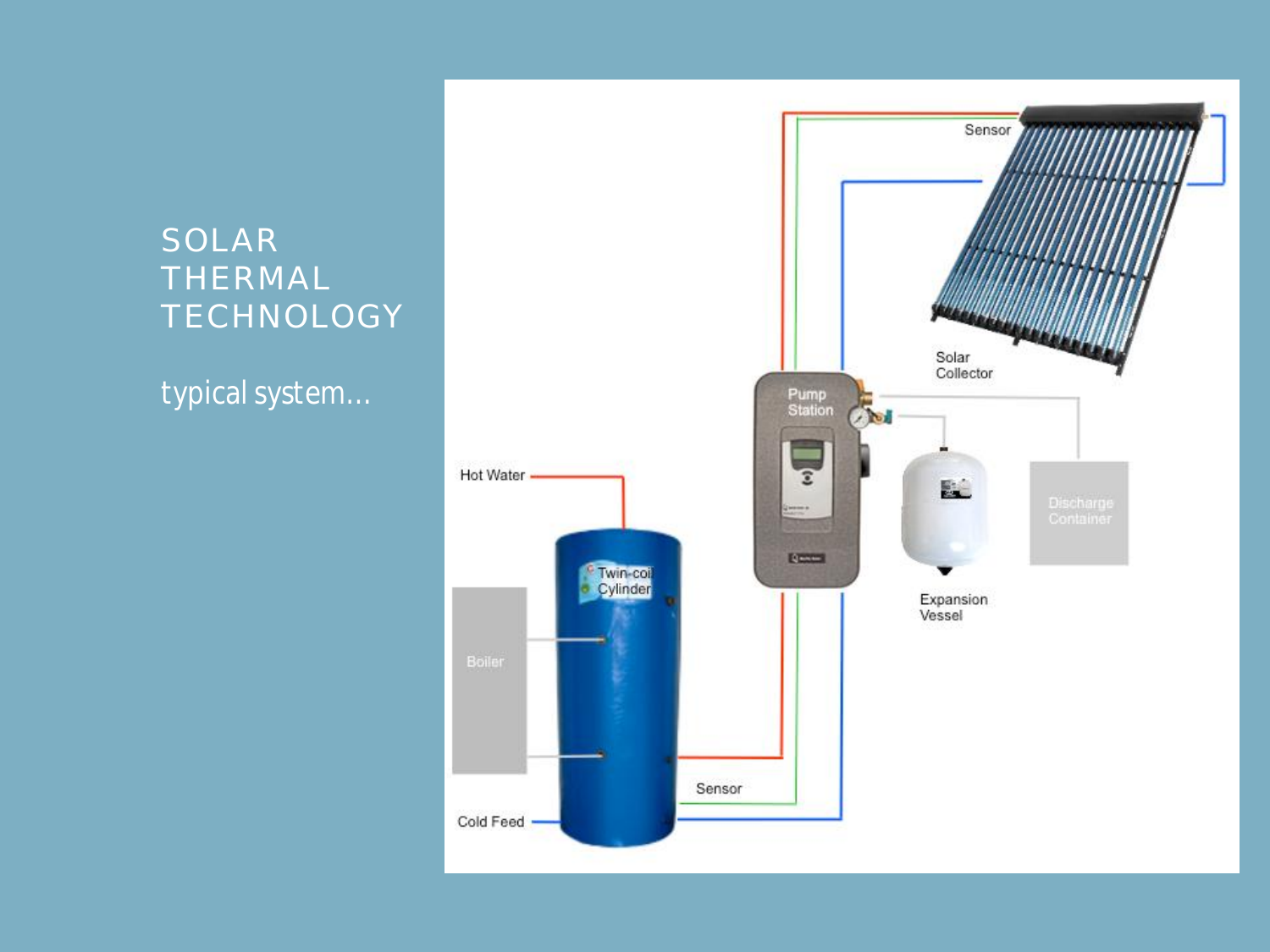*typical system…*

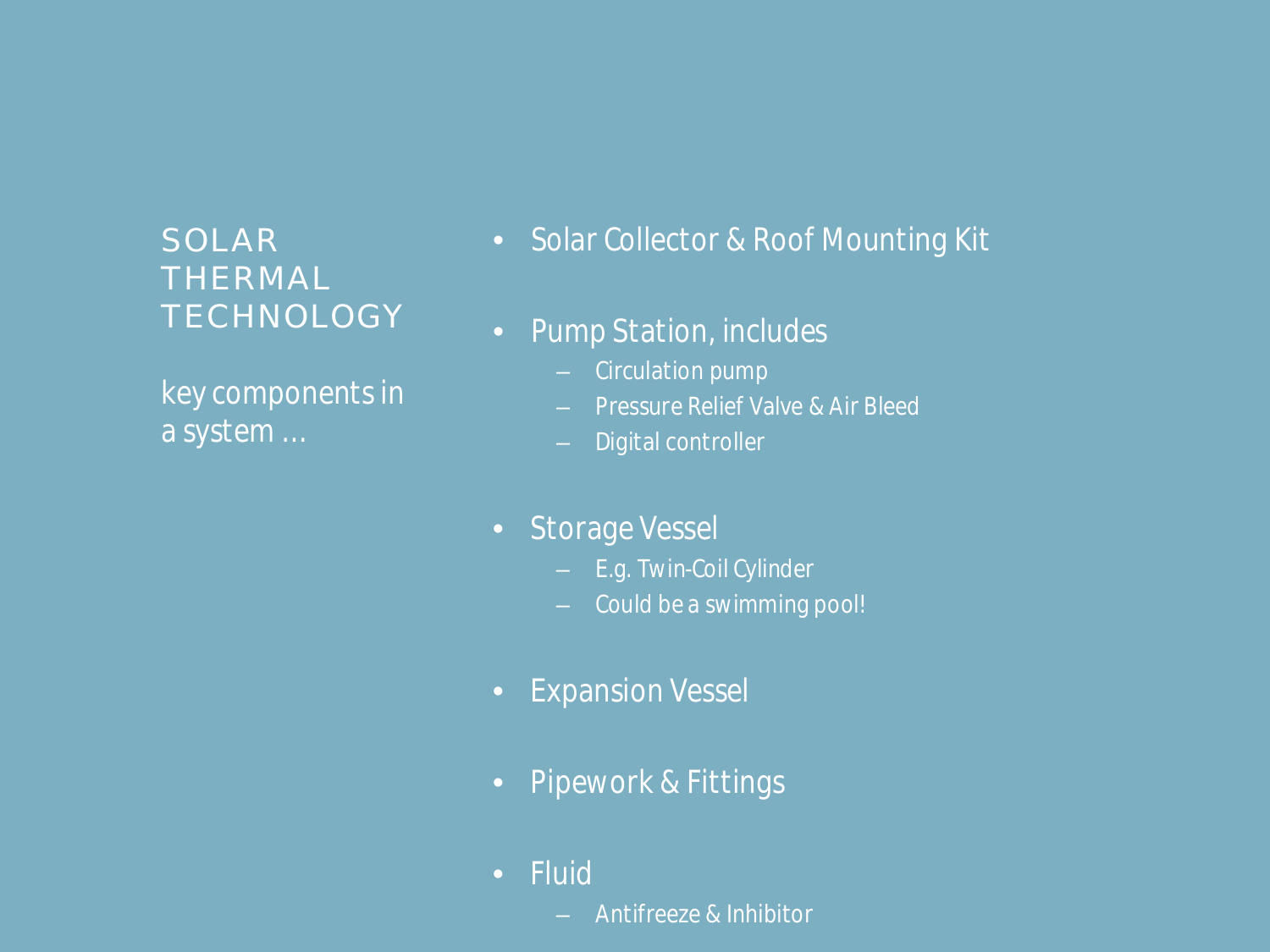*key components in a system …*

- *Solar Collector & Roof Mounting Kit*
- *Pump Station, includes*
	- *Circulation pump*
	- *Pressure Relief Valve & Air Bleed*
	- *Digital controller*
- *Storage Vessel*
	- *E.g. Twin-Coil Cylinder*
	- *Could be a swimming pool!*
- *Expansion Vessel*
- *Pipework & Fittings*
- *Fluid*
	- *Antifreeze & Inhibitor*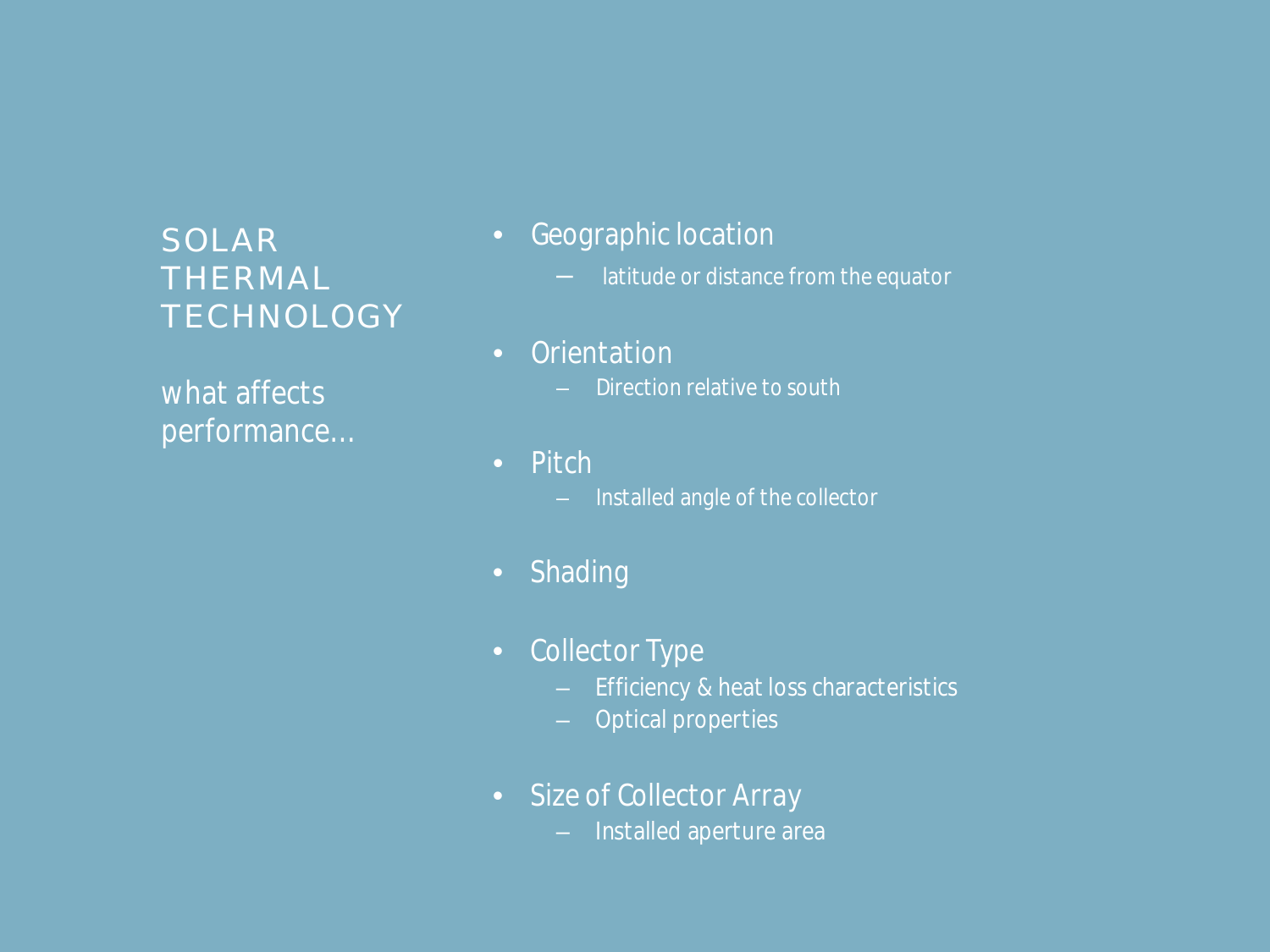*what affects performance…*

- *Geographic location*
	- *latitude or distance from the equator*
- *Orientation* 
	- *Direction relative to south*
- *Pitch*
	- *Installed angle of the collector*
- *Shading*
- *Collector Type*
	- *Efficiency & heat loss characteristics*
	- *Optical properties*
- *Size of Collector Array*
	- *Installed aperture area*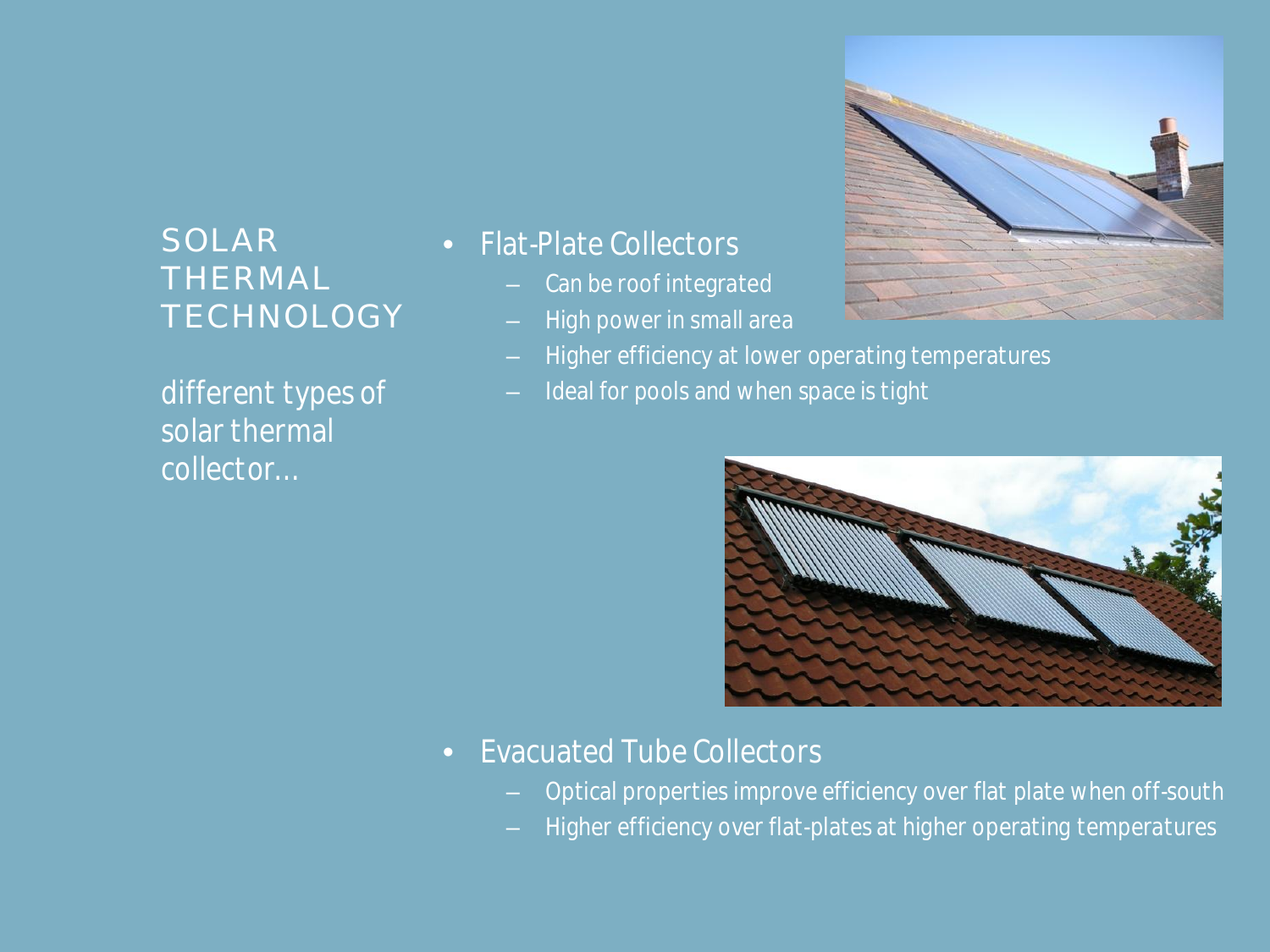*different types of solar thermal collector…*

#### • *Flat-Plate Collectors*

- *Can be roof integrated*
- *High power in small area*
- *Higher efficiency at lower operating temperatures*
- *Ideal for pools and when space is tight*



- *Evacuated Tube Collectors*
	- *Optical properties improve efficiency over flat plate when off-south*
	- *Higher efficiency over flat-plates at higher operating temperatures*

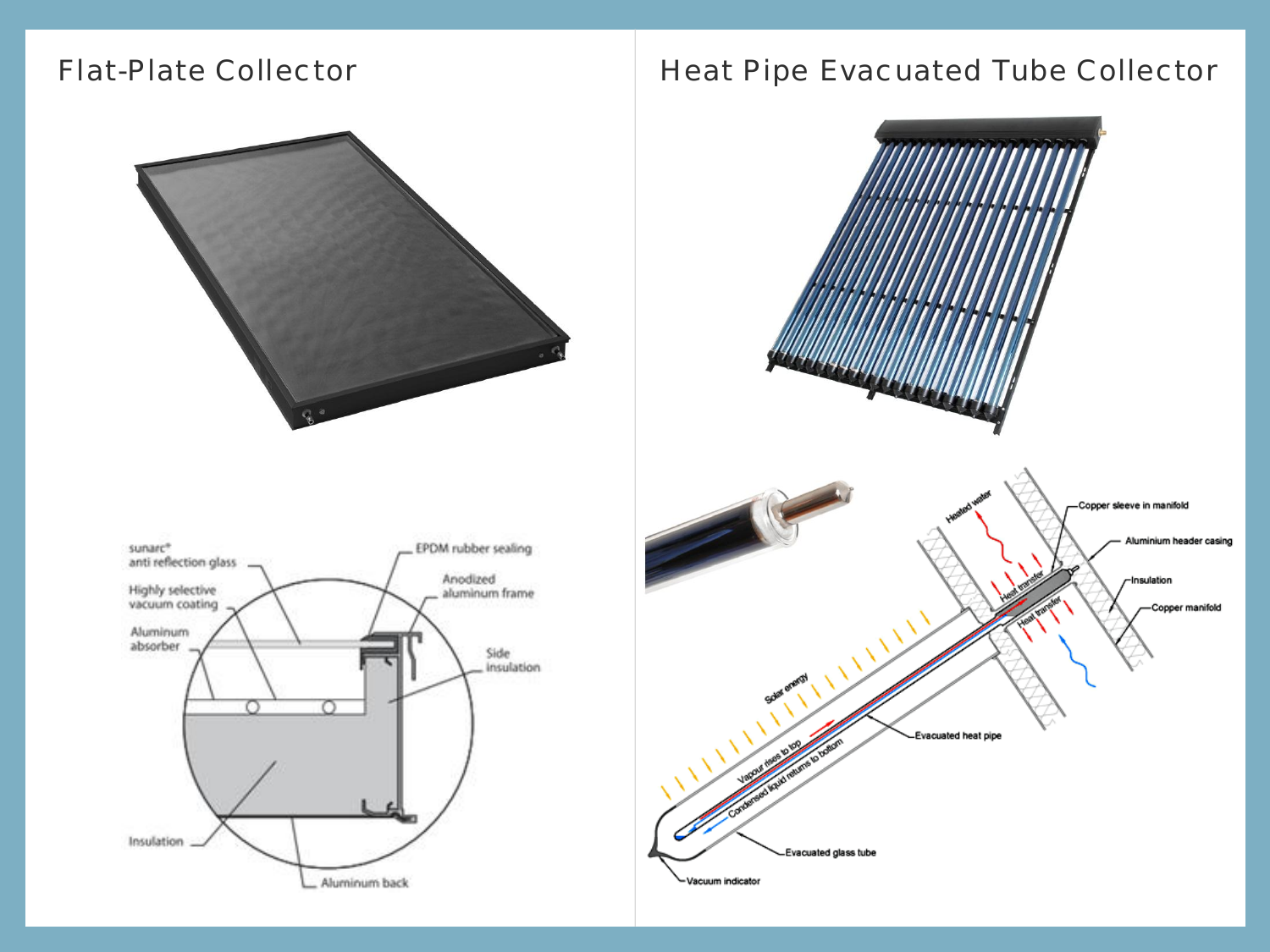

#### Flat-Plate Collector **Heat Pipe Evacuated Tube Collector**



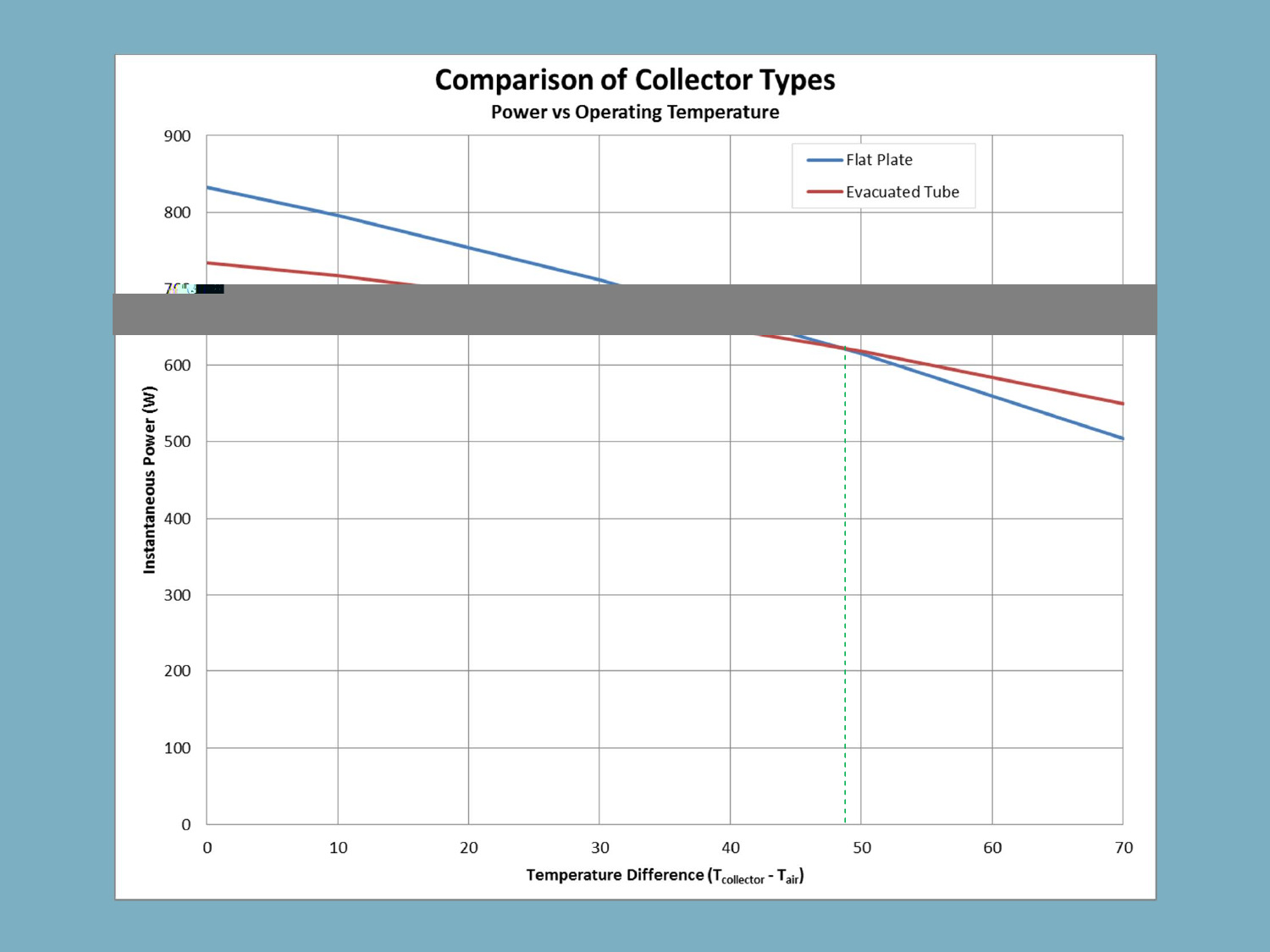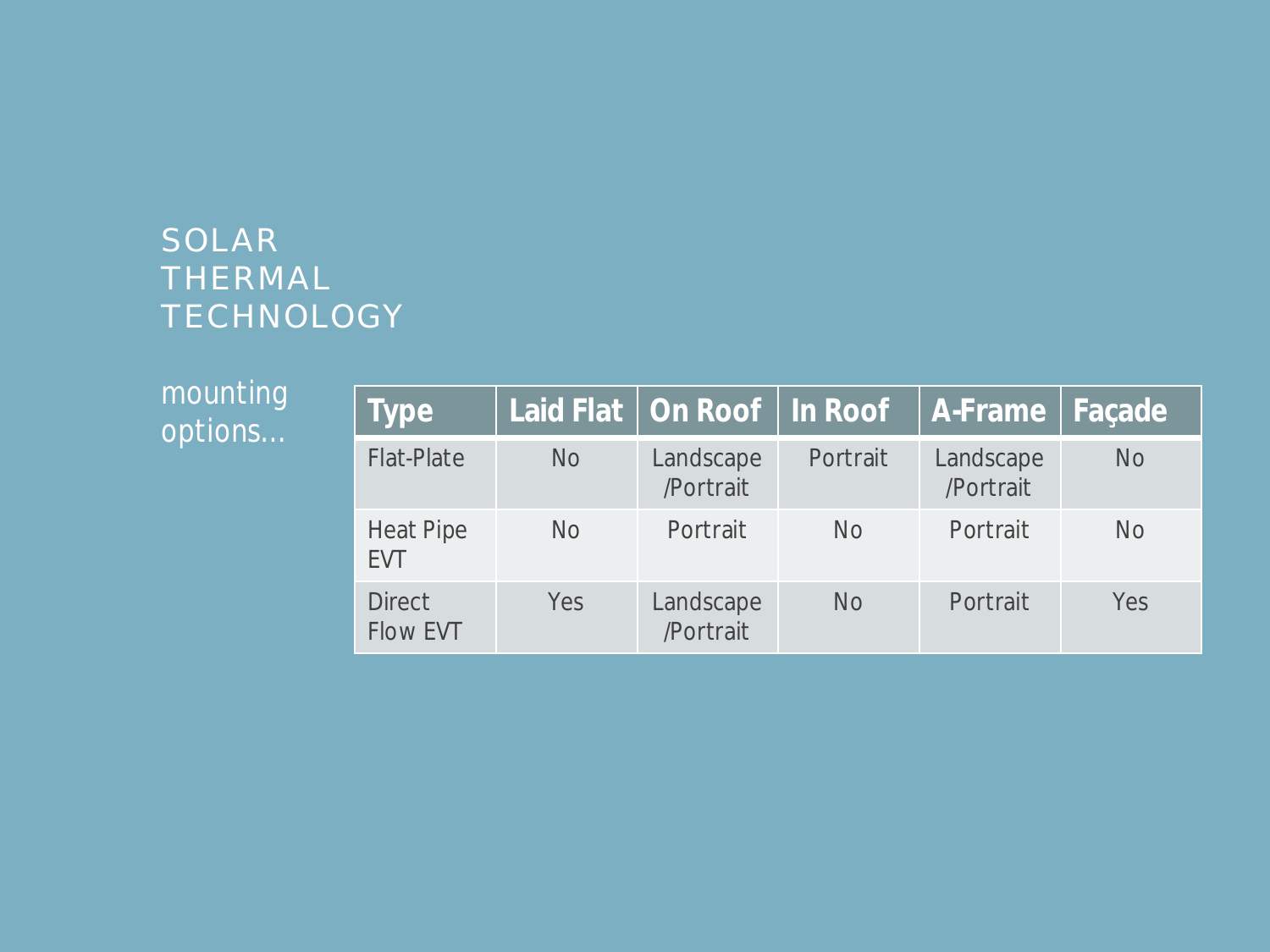| mounting<br>options | <b>Type</b>                      |           | Laid Flat   On Roof   In Roof |           | A-Frame   Façade       |           |
|---------------------|----------------------------------|-----------|-------------------------------|-----------|------------------------|-----------|
|                     | <b>Flat-Plate</b>                | <b>No</b> | Landscape<br>/Portrait        | Portrait  | Landscape<br>/Portrait | <b>No</b> |
|                     | <b>Heat Pipe</b><br><b>EVT</b>   | <b>No</b> | Portrait                      | No.       | Portrait               | <b>No</b> |
|                     | <b>Direct</b><br><b>Flow EVT</b> | Yes       | Landscape<br>/Portrait        | <b>No</b> | Portrait               | Yes       |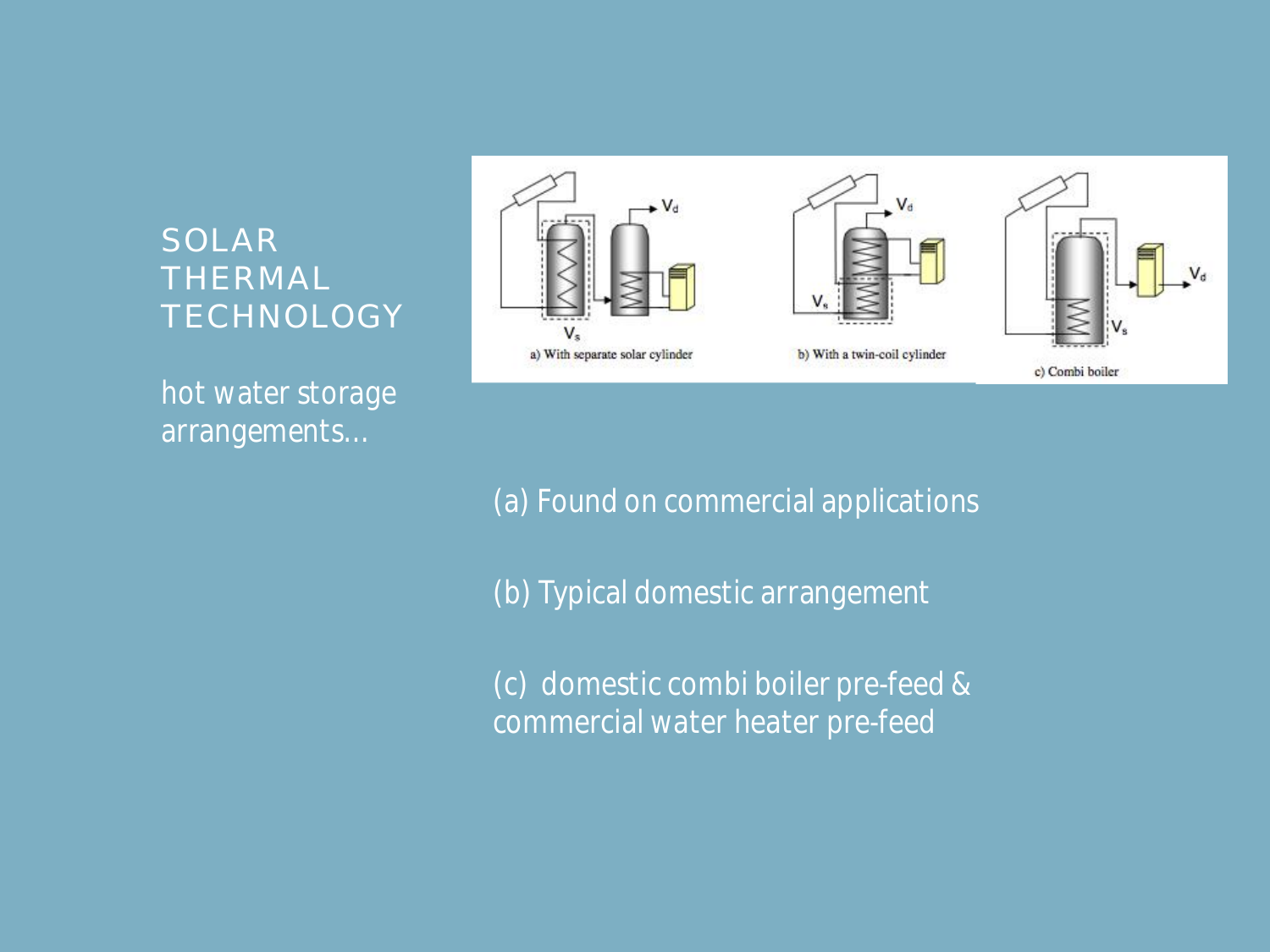*hot water storage arrangements…*



*(a) Found on commercial applications*

*(b) Typical domestic arrangement*

*(c) domestic combi boiler pre-feed & commercial water heater pre-feed*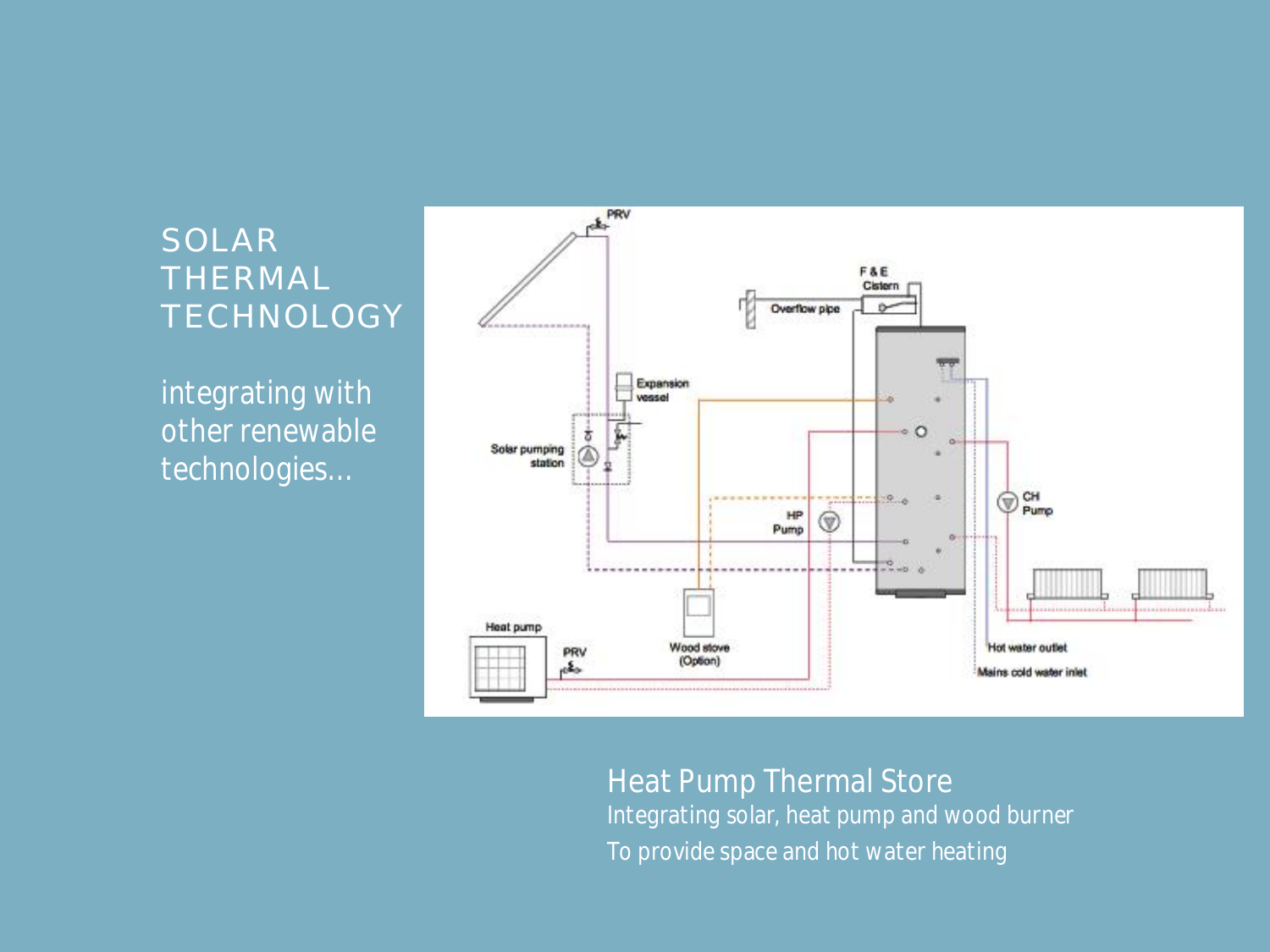*integrating with other renewable technologies…*



#### Heat Pump Thermal Store *Integrating solar, heat pump and wood burner To provide space and hot water heating*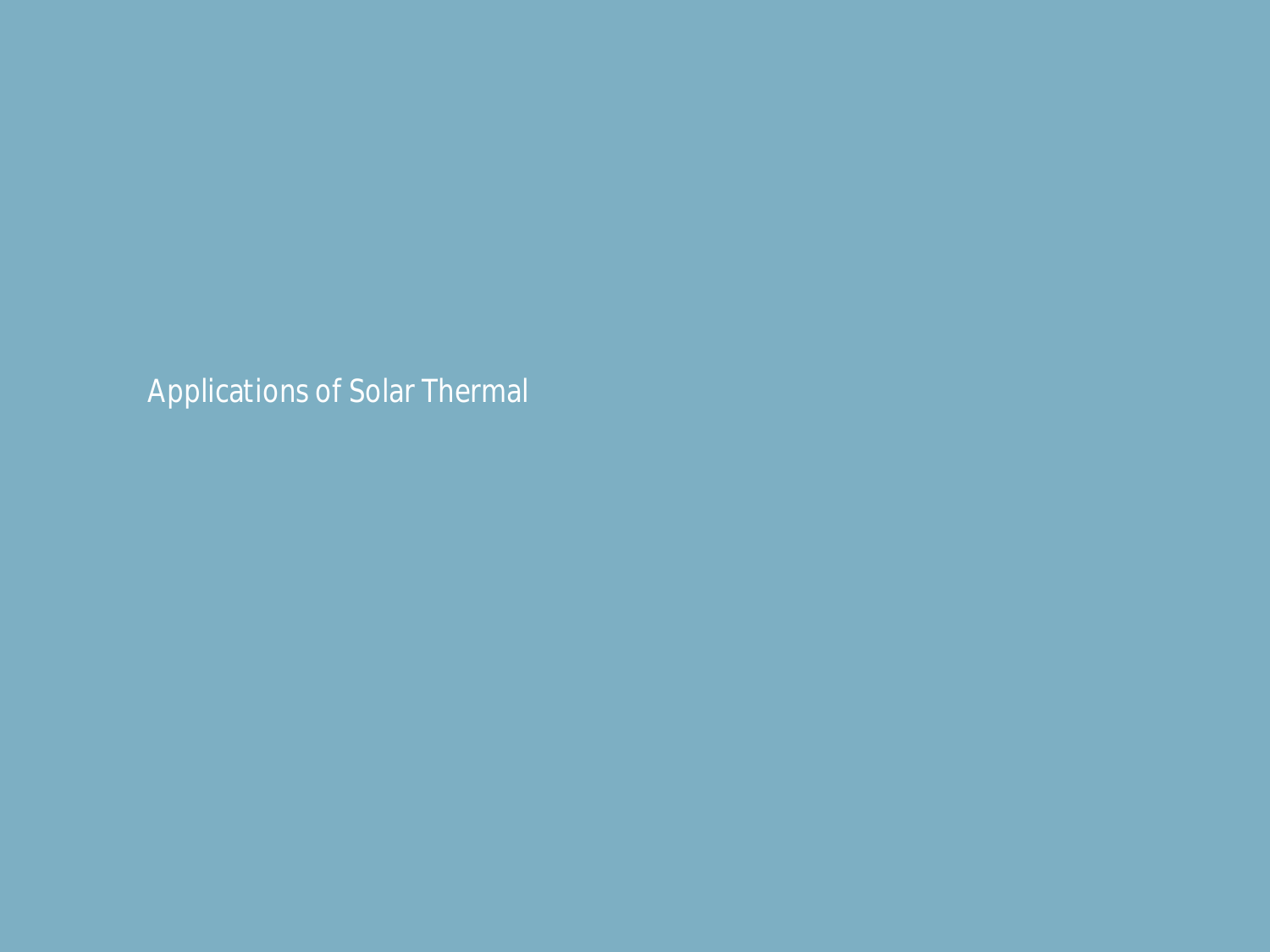*Applications of Solar Thermal*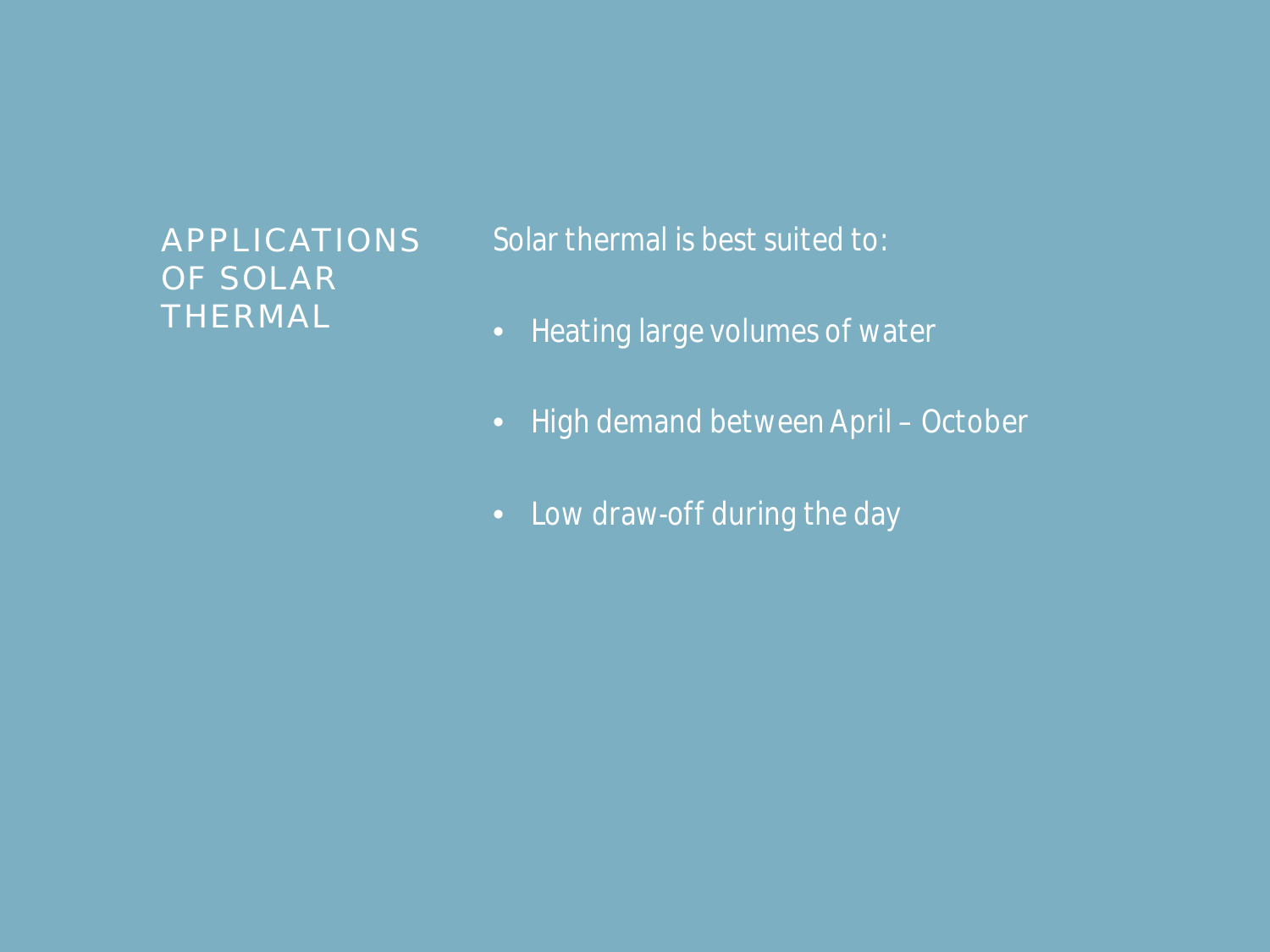#### APPLICATIONS OF SOLAR THERMAL

*Solar thermal is best suited to:*

- *Heating large volumes of water*
- *High demand between April October*
- *Low draw-off during the day*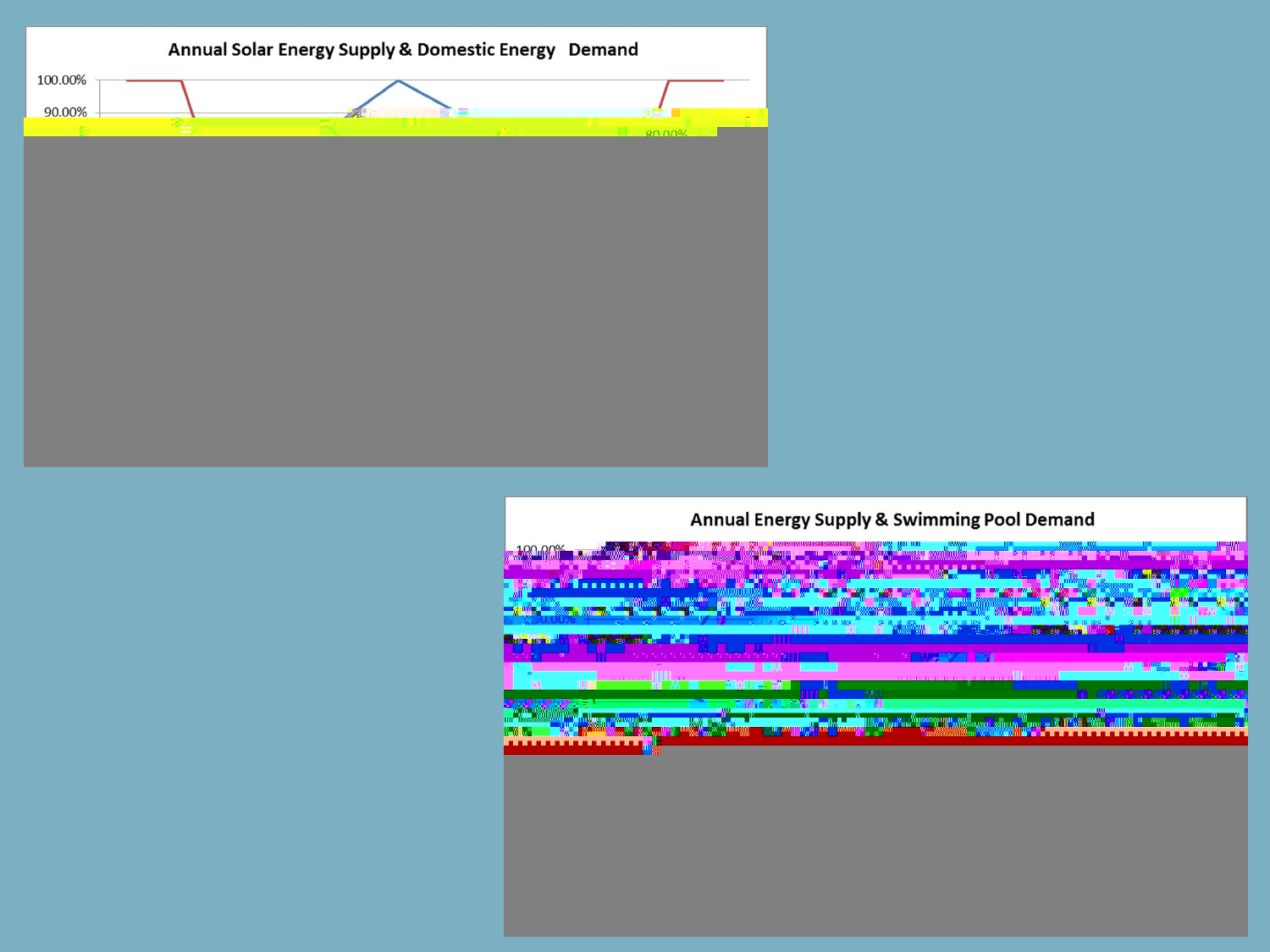

#### Annual Energy Supply & Swimming Pool Demand

**BLOCK TOWN** 

... ... ജന്മാ<sup>ന</sup>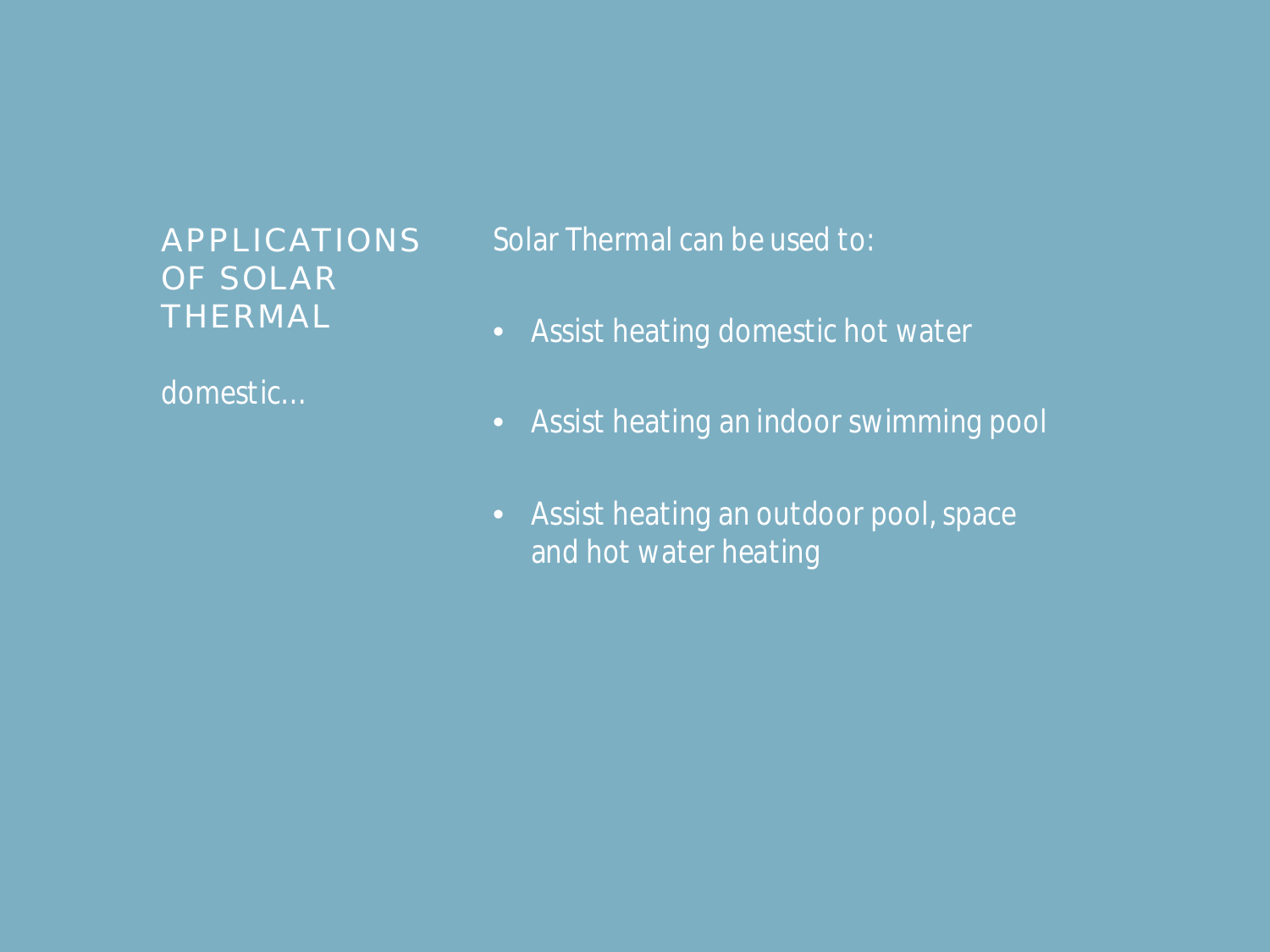#### APPLICATIONS OF SOLAR THERMAL

*domestic…*

*Solar Thermal can be used to:*

- *Assist heating domestic hot water*
- *Assist heating an indoor swimming pool*
- *Assist heating an outdoor pool, space and hot water heating*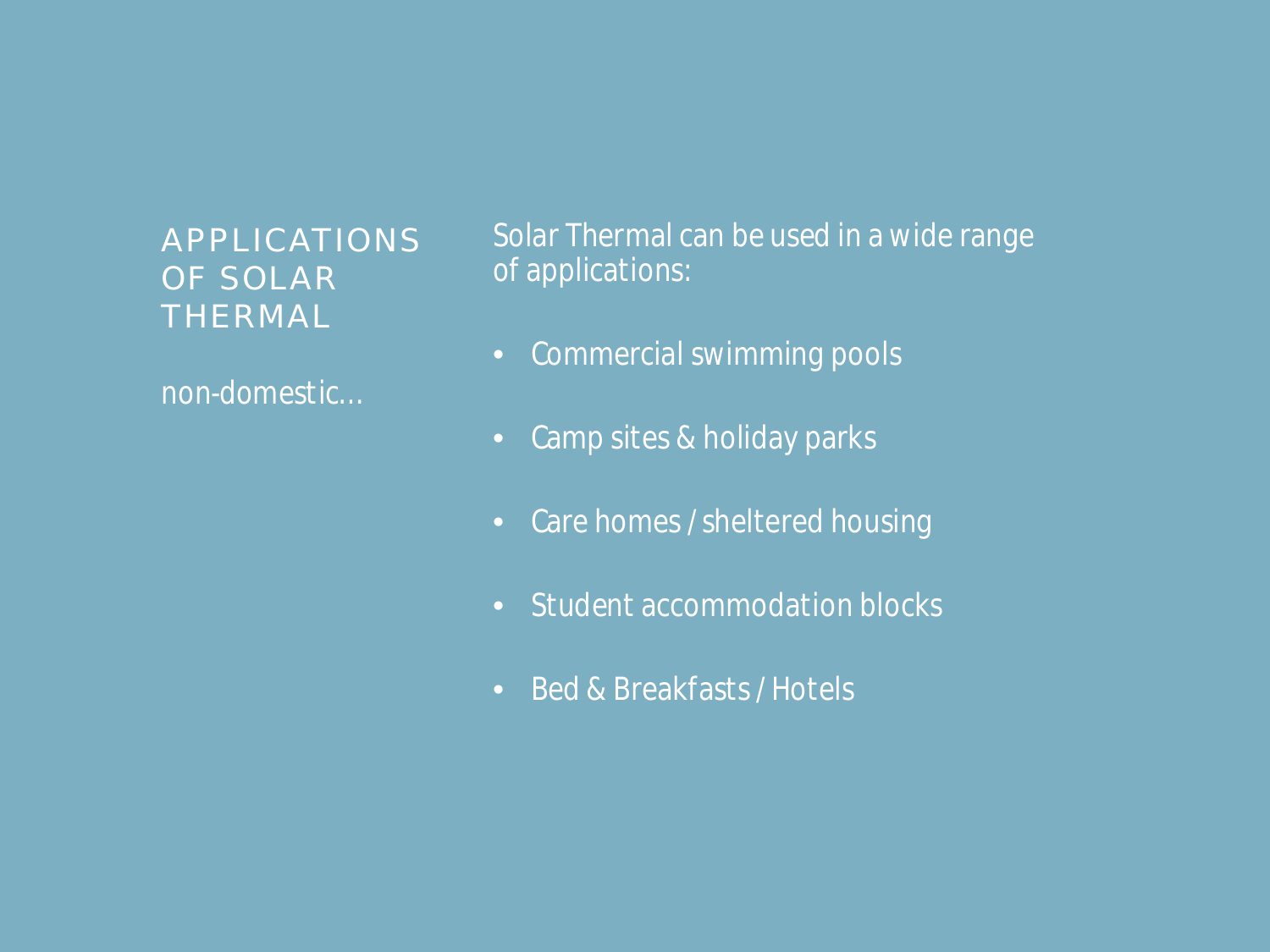APPLICATIONS OF SOLAR THERMAL

*non-domestic…*

*Solar Thermal can be used in a wide range of applications:*

- *Commercial swimming pools*
- *Camp sites & holiday parks*
- *Care homes / sheltered housing*
- *Student accommodation blocks*
- *Bed & Breakfasts / Hotels*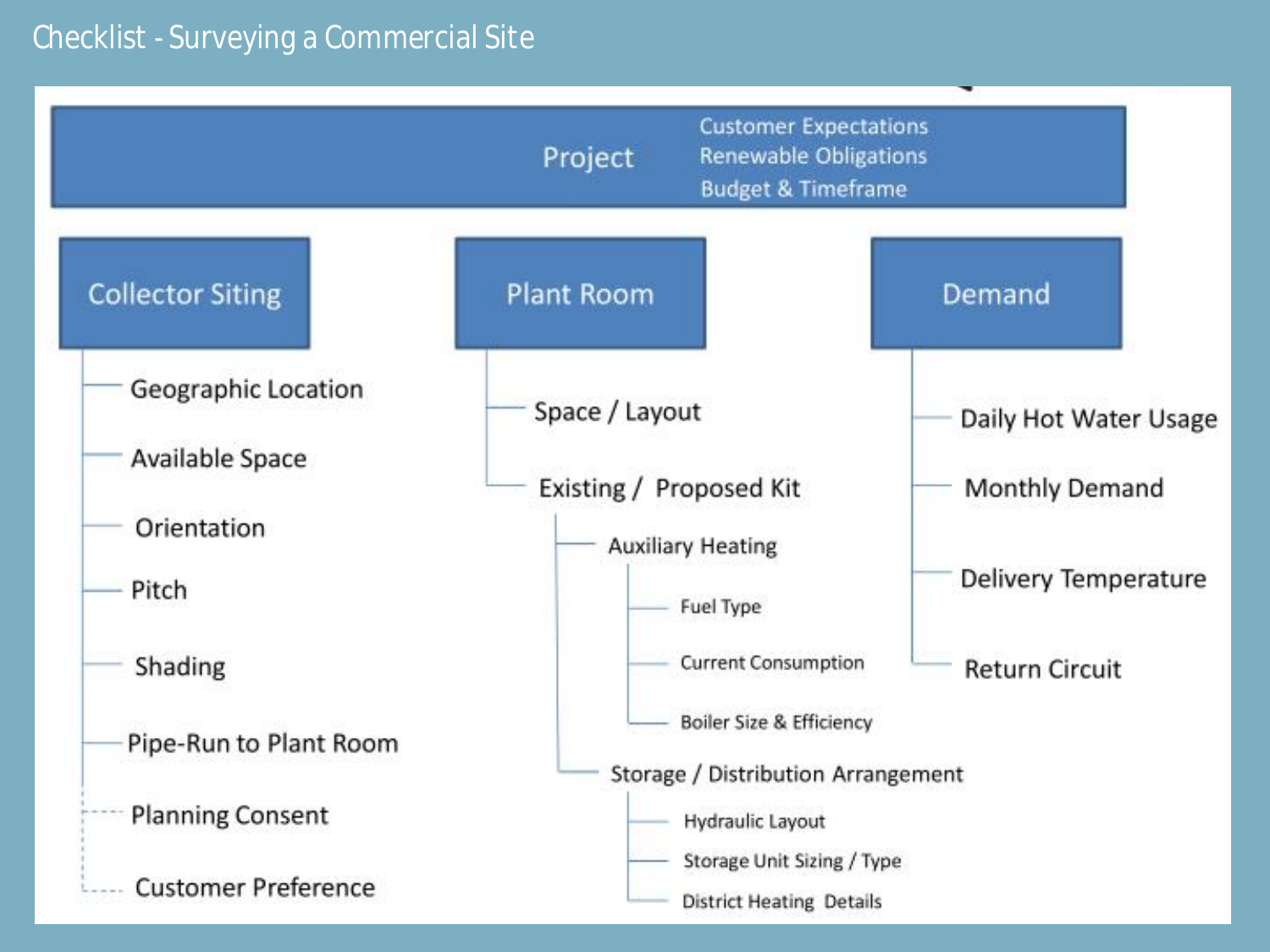#### *Checklist - Surveying a Commercial Site*

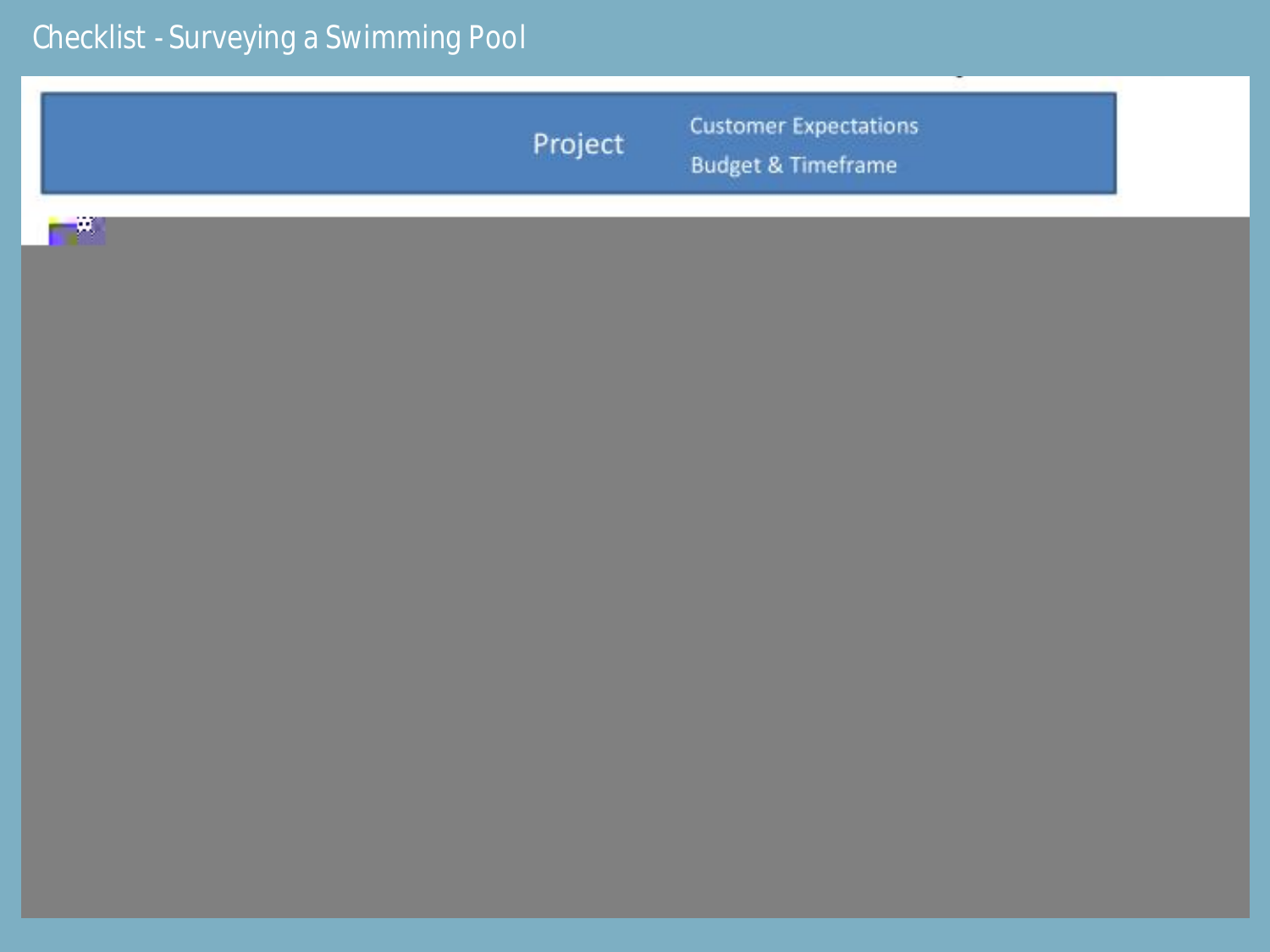# *Checklist - Surveying a Swimming Pool*

| Project | <b>Customer Expectations</b><br><b>Budget &amp; Timeframe</b> |
|---------|---------------------------------------------------------------|
| - 4     |                                                               |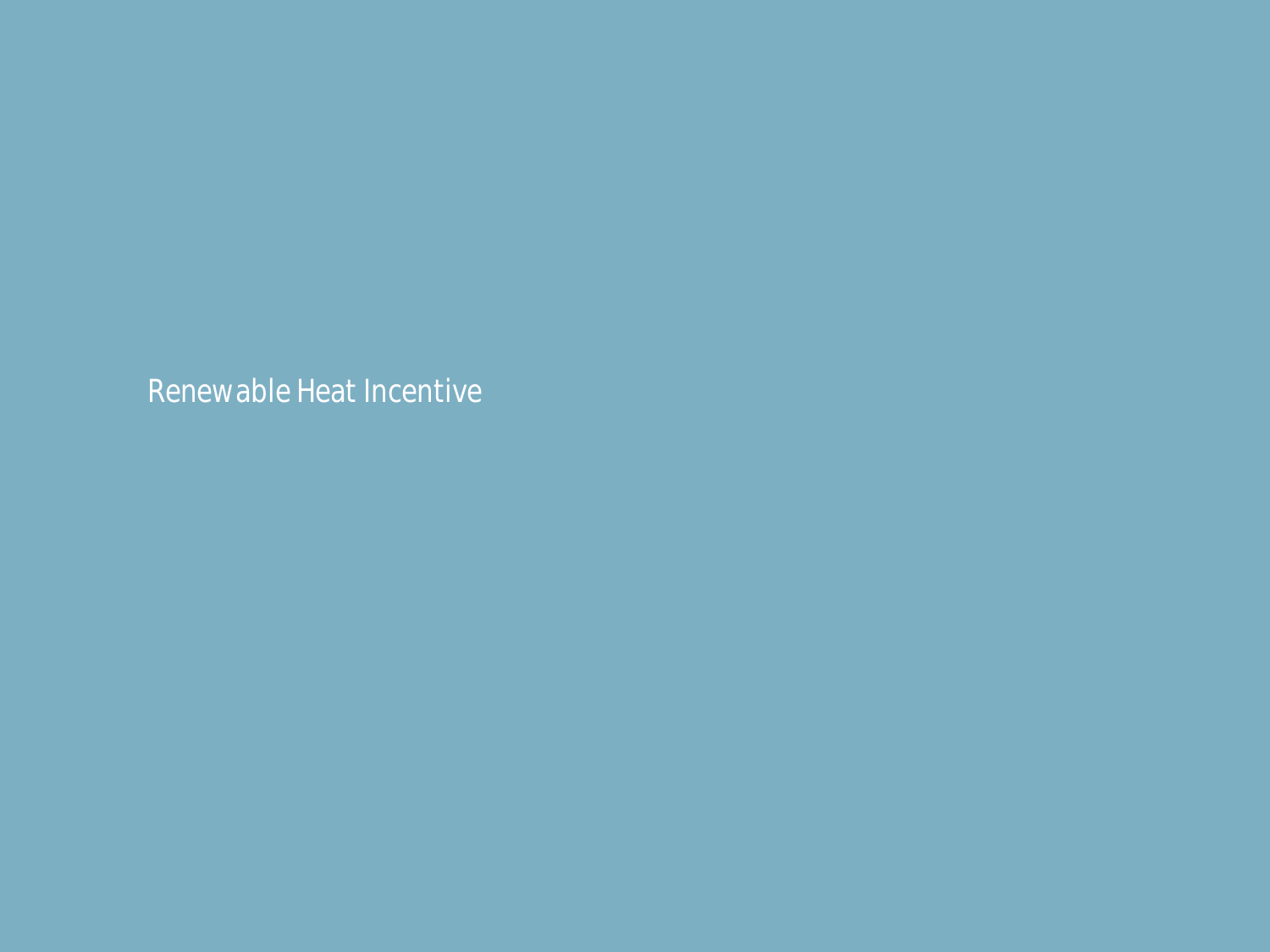*Renewable Heat Incentive*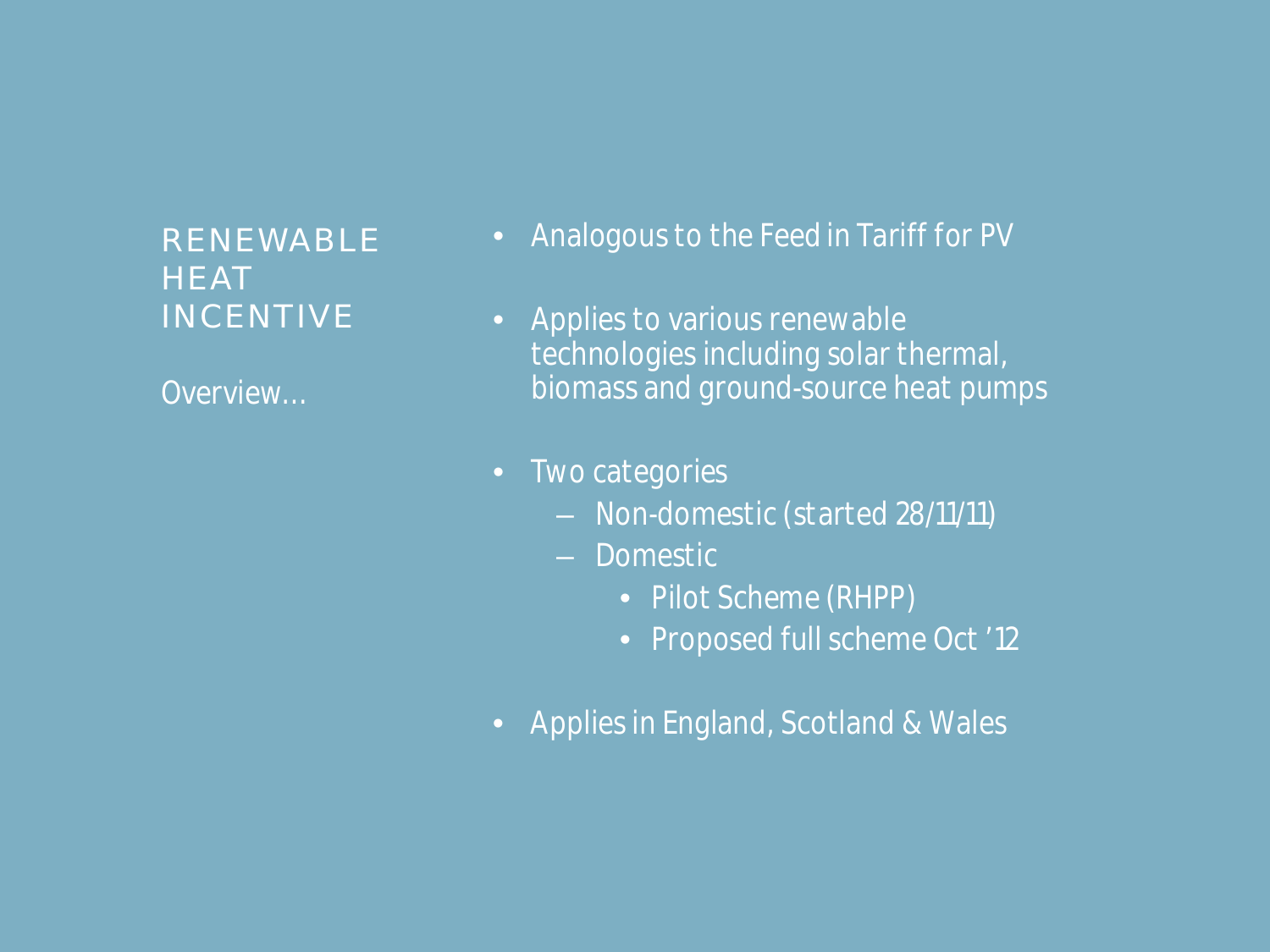#### RENEWABLE **HEAT** INCENTIVE

*Overview…*

- *Analogous to the Feed in Tariff for PV*
- *Applies to various renewable technologies including solar thermal, biomass and ground-source heat pumps*
- *Two categories*
	- *Non-domestic (started 28/11/11)*
	- *Domestic*
		- *Pilot Scheme (RHPP)*
		- *Proposed full scheme Oct '12*
- *Applies in England, Scotland & Wales*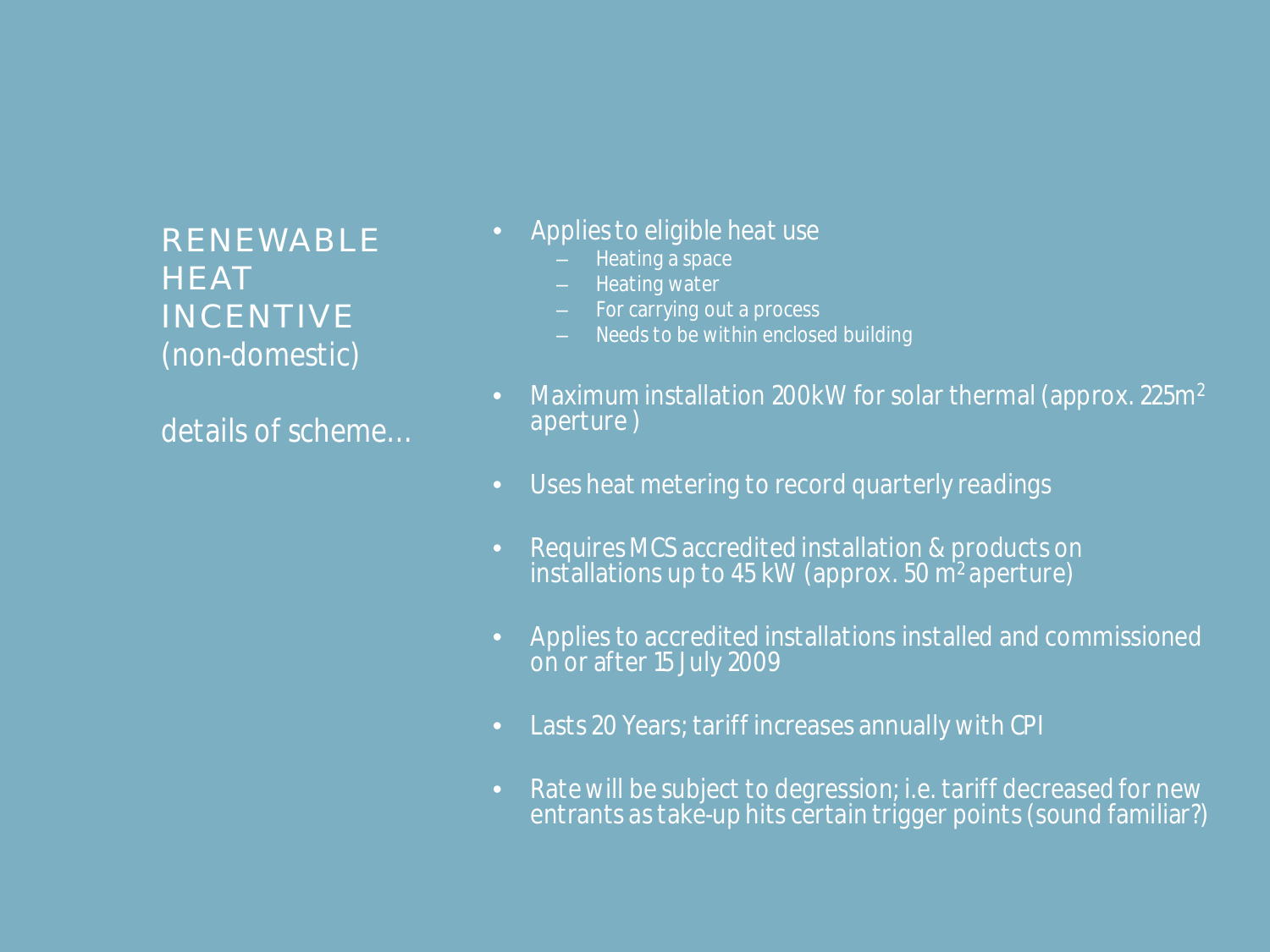RENEWABLE **HEAT INCENTIVE** *(non-domestic)*

*details of scheme…*

- *Applies to eligible heat use* 
	- *Heating a space*
	- *Heating water*
	- *For carrying out a process*
	- *Needs to be within enclosed building*
- *Maximum installation 200kW for solar thermal (approx. 225m<sup>2</sup> aperture )*
- *Uses heat metering to record quarterly readings*
- *Requires MCS accredited installation & products on installations up to 45 kW (approx. 50 m<sup>2</sup> aperture)*
- *Applies to accredited installations installed and commissioned on or after 15 July 2009*
- *Lasts 20 Years; tariff increases annually with CPI*
- *Rate will be subject to degression; i.e. tariff decreased for new entrants as take-up hits certain trigger points (sound familiar?)*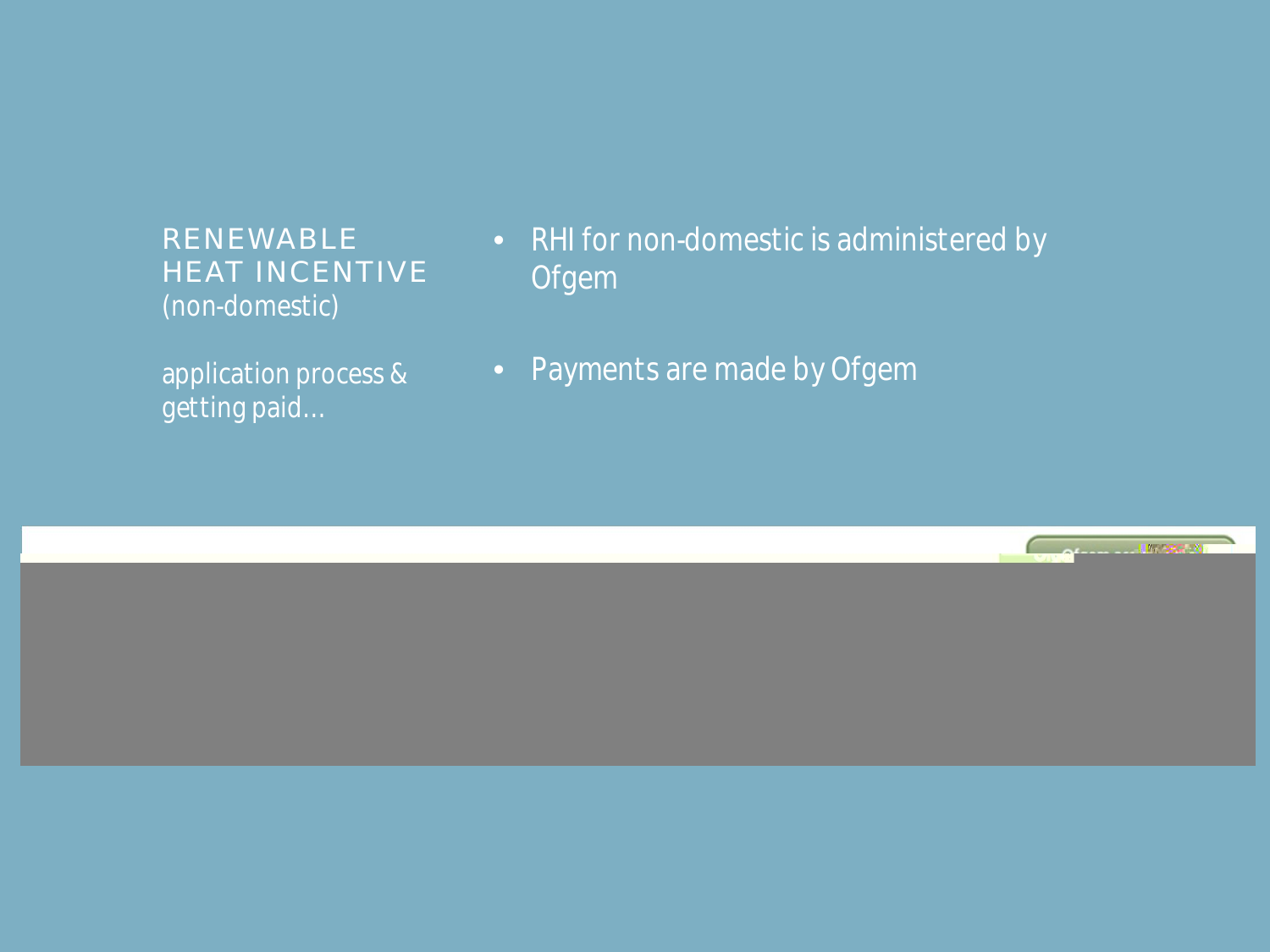RENEWABLE HEAT INCENTIVE *(non-domestic)*

*application process & getting paid…*

- *RHI for non-domestic is administered by Ofgem*
- *Payments are made by Ofgem*

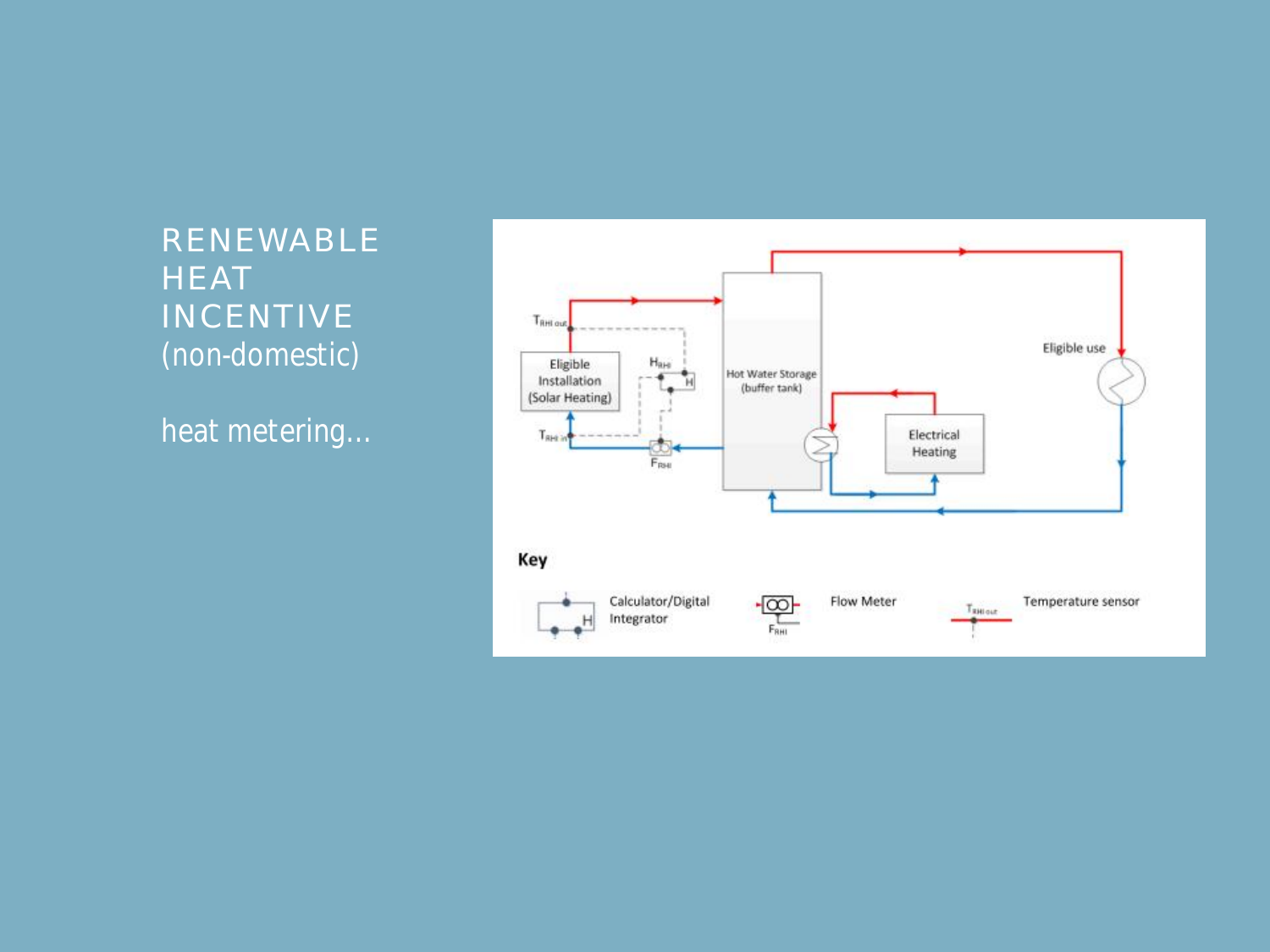RENEWABLE **HEAT** INCENTIVE *(non-domestic)*

*heat metering…*

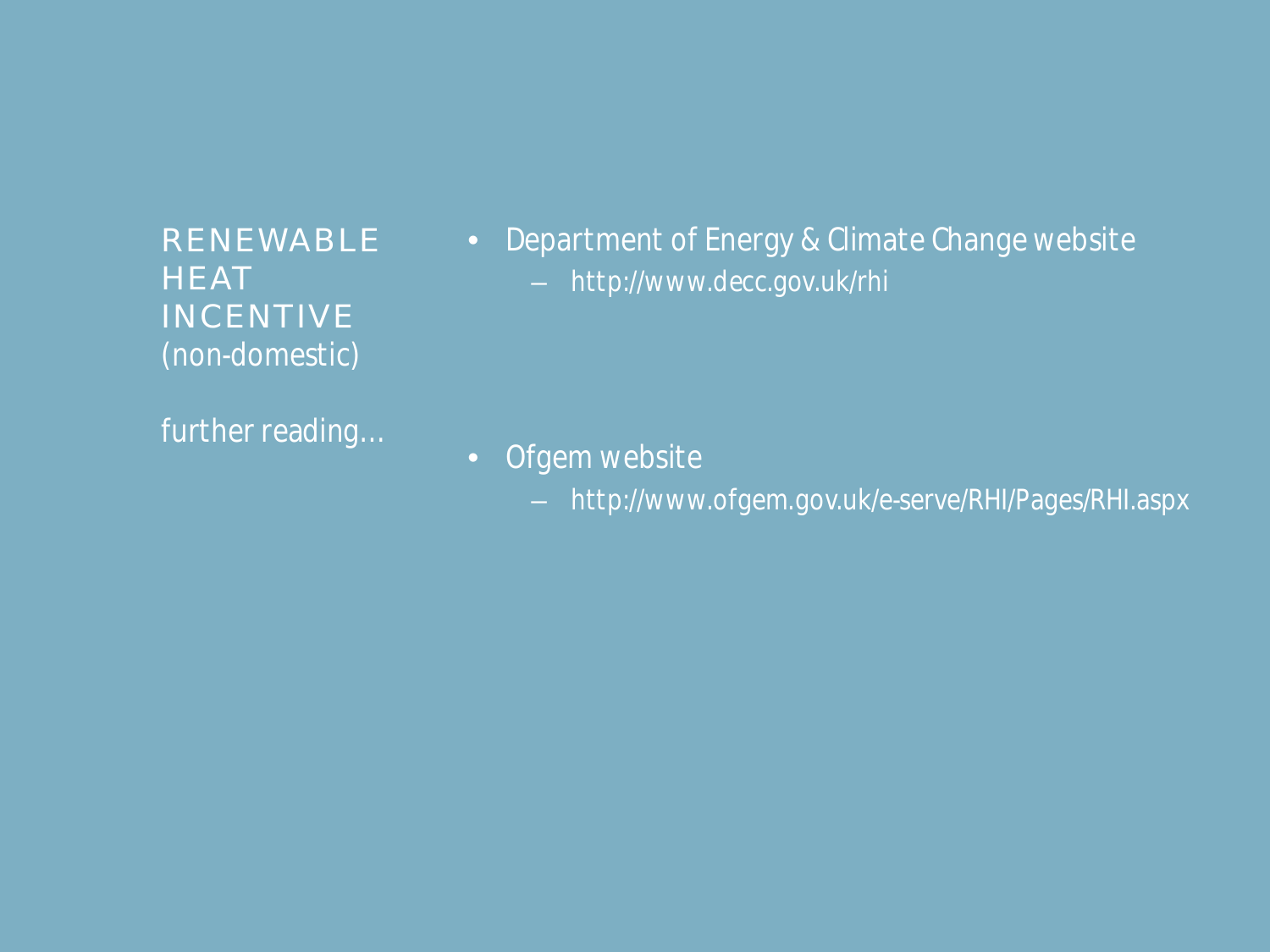RENEWABLE **HEAT** INCENTIVE *(non-domestic)*

*further reading…*

• *Department of Energy & Climate Change website* – *http://www.decc.gov.uk/rhi*

• *Ofgem website*

– *http://www.ofgem.gov.uk/e-serve/RHI/Pages/RHI.aspx*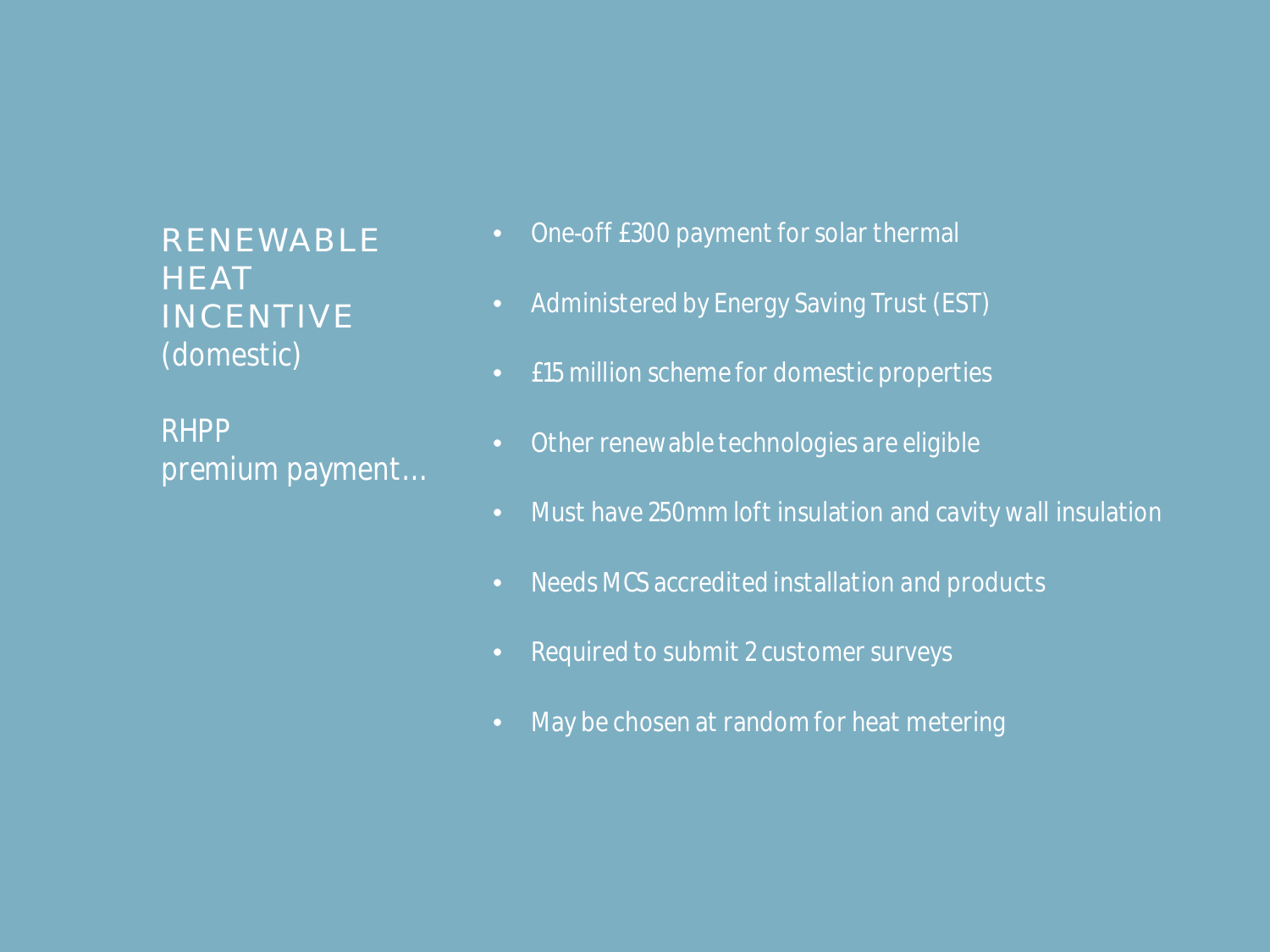RENEWABLE **HEAT** INCENTIVE *(domestic)*

*RHPP premium payment…*

- *One-off £300 payment for solar thermal*
- *Administered by Energy Saving Trust (EST)*
- *£15 million scheme for domestic properties*
- *Other renewable technologies are eligible*
- *Must have 250mm loft insulation and cavity wall insulation*
- *Needs MCS accredited installation and products*
- *Required to submit 2 customer surveys*
- *May be chosen at random for heat metering*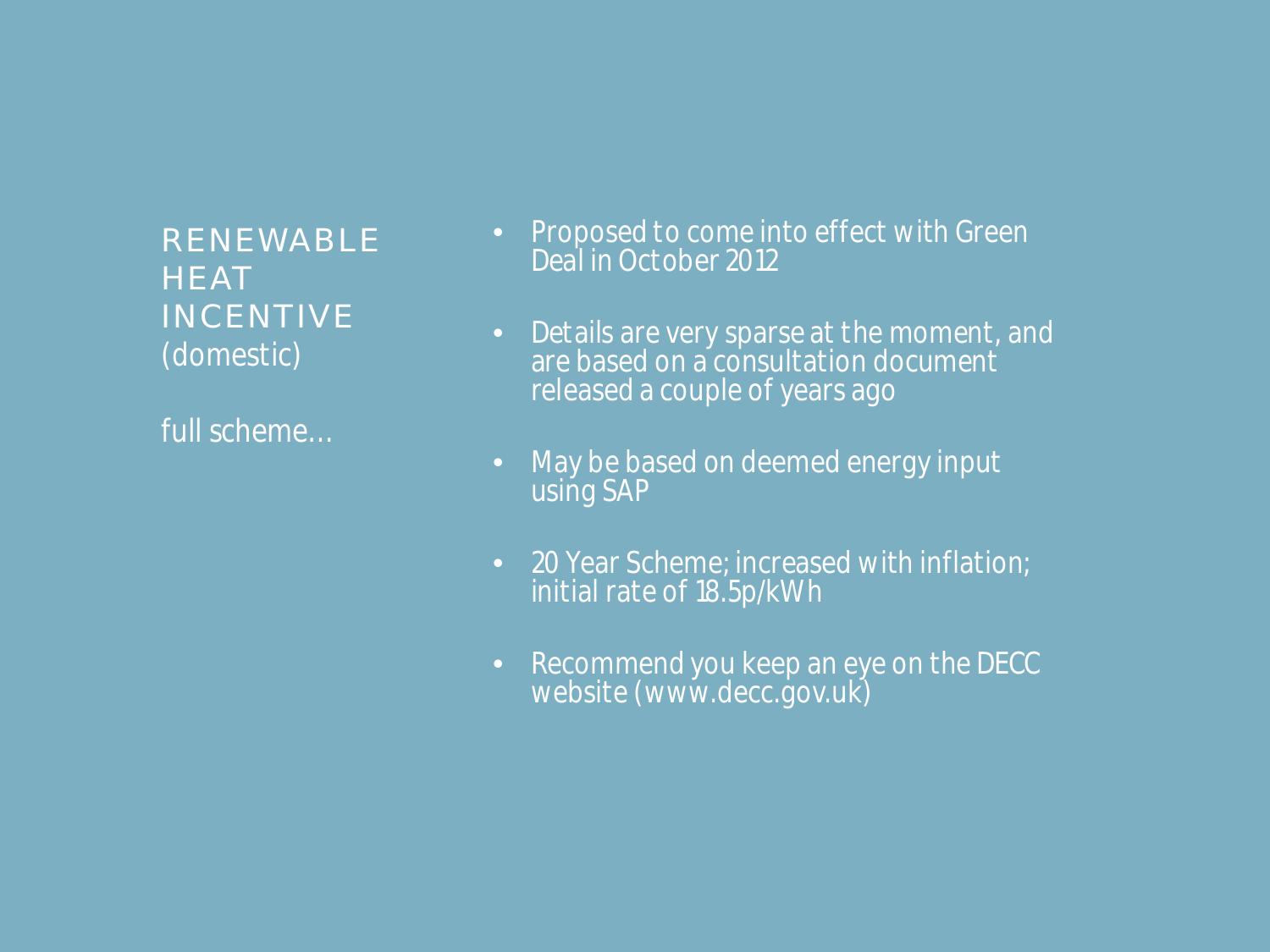RENEWABLE **HEAT** INCENTIVE *(domestic)*

*full scheme…*

- *Proposed to come into effect with Green Deal in October 2012*
- *Details are very sparse at the moment, and are based on a consultation document released a couple of years ago*
- *May be based on deemed energy input using SAP*
- *20 Year Scheme; increased with inflation; initial rate of 18.5p/kWh*
- *Recommend you keep an eye on the DECC website (www.decc.gov.uk)*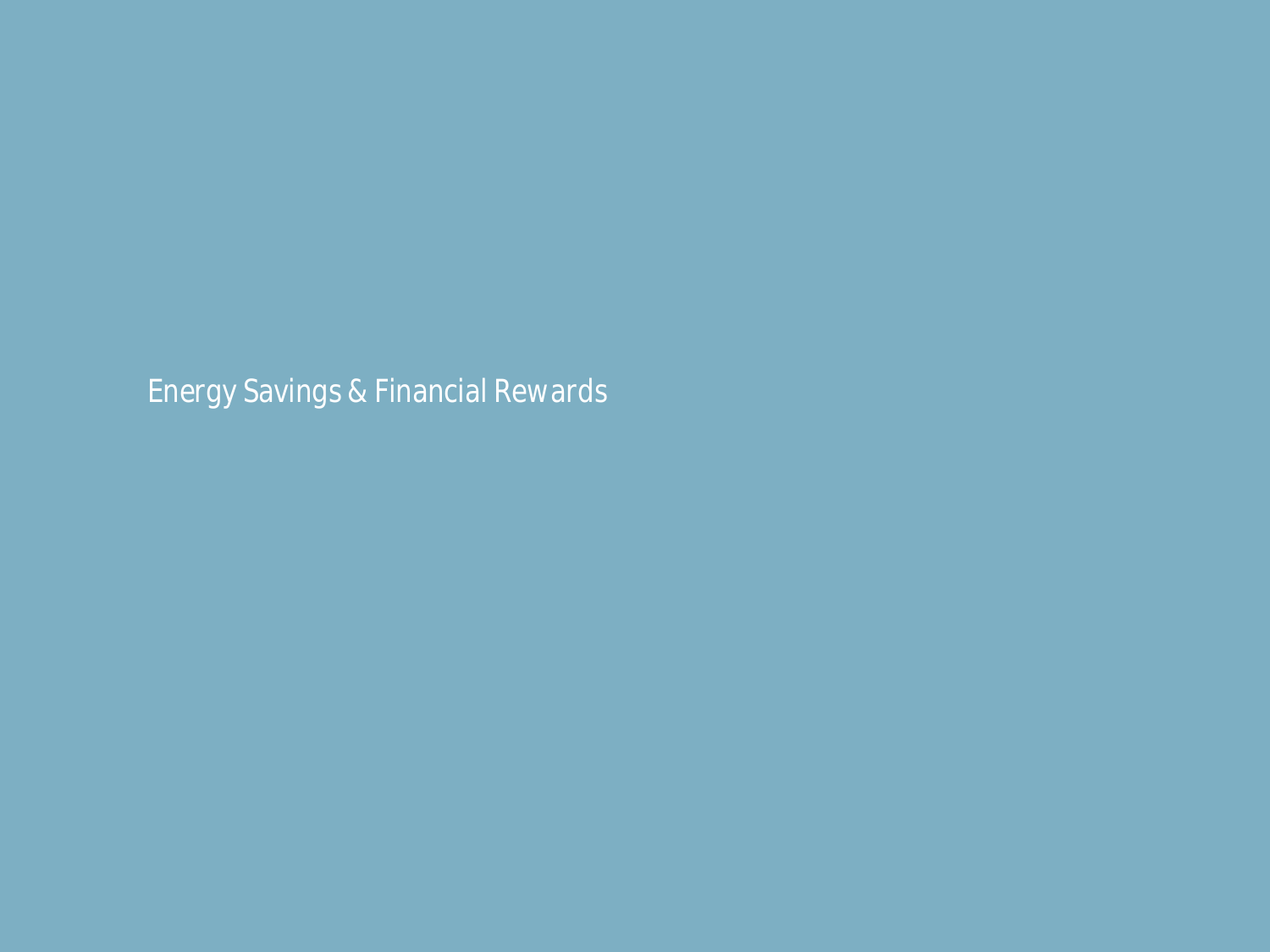*Energy Savings & Financial Rewards*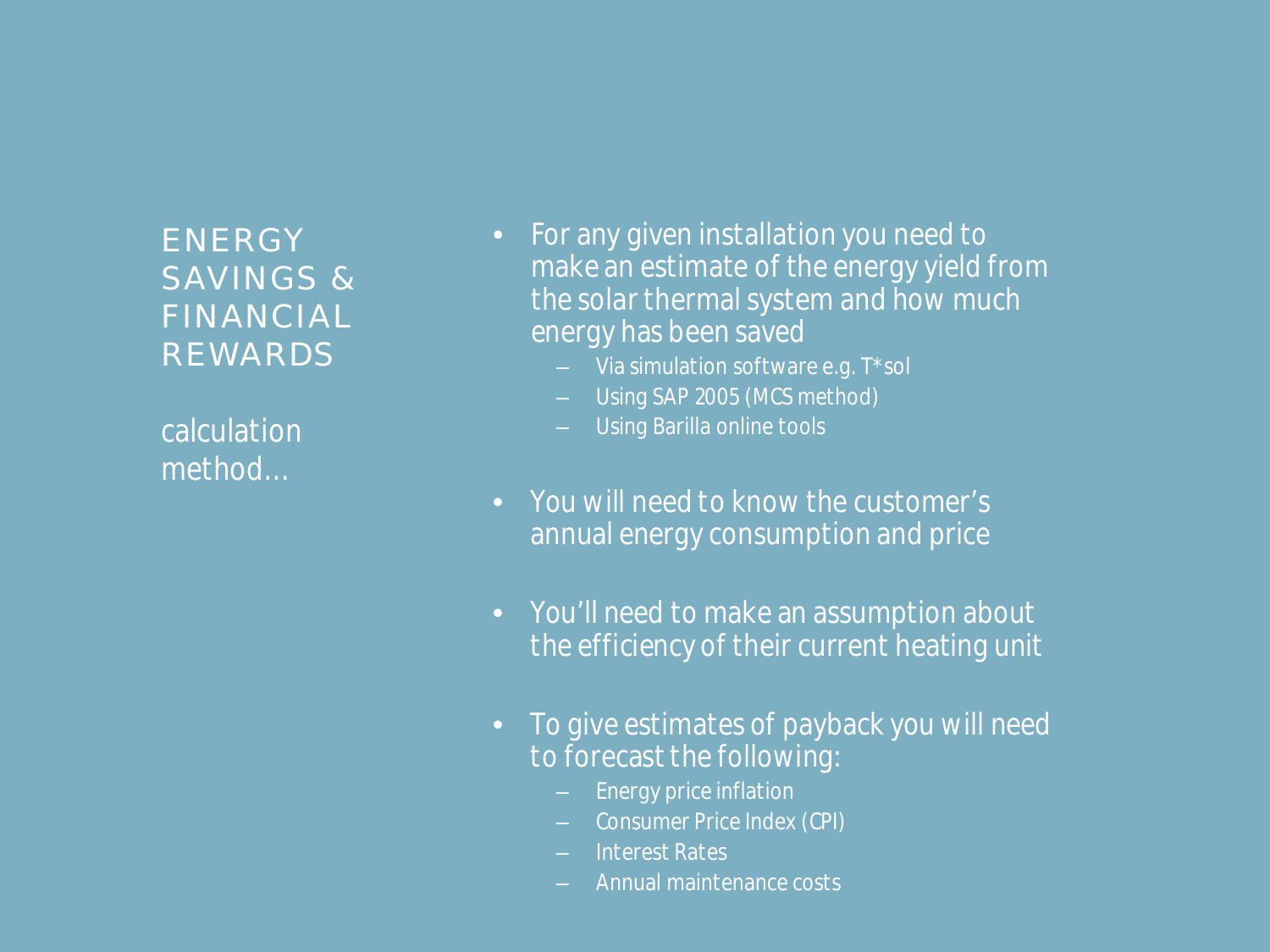#### **ENERGY** SAVINGS & FINANCIAL REWARDS

*calculation method…*

- *For any given installation you need to make an estimate of the energy yield from the solar thermal system and how much energy has been saved*
	- *Via simulation software e.g. T\*sol*
	- *Using SAP 2005 (MCS method)*
	- *Using Barilla online tools*
- *You will need to know the customer's annual energy consumption and price*
- *You'll need to make an assumption about the efficiency of their current heating unit*
- *To give estimates of payback you will need to forecast the following:*
	- *Energy price inflation*
	- *Consumer Price Index (CPI)*
	- *Interest Rates*
	- *Annual maintenance costs*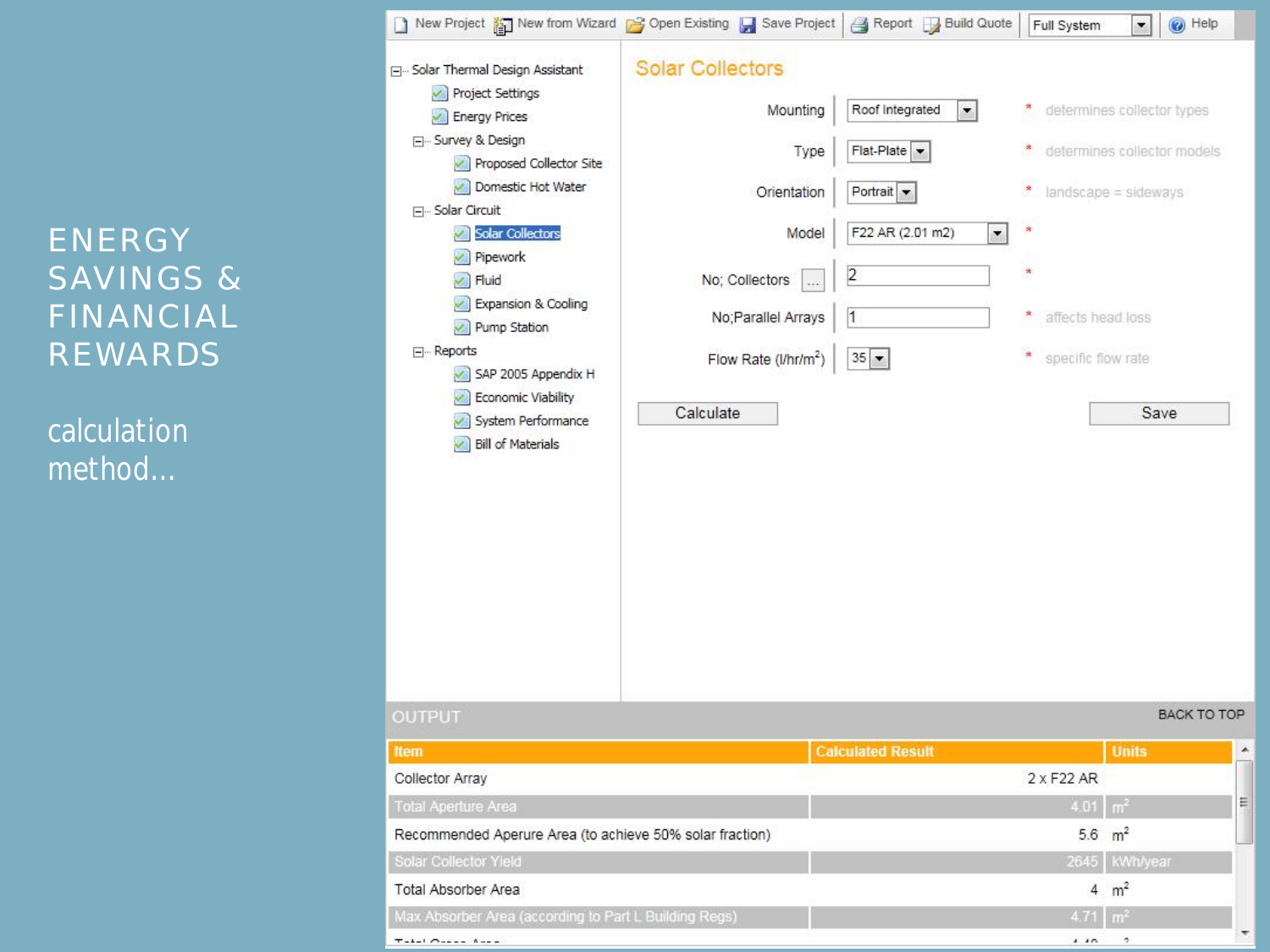# ENERGY SAVINGS & FINANCIAL REWARDS

*calculation method…*

| New Project $\frac{3}{2}$ New from Wizard $\rightarrow$ Open Existing $\rightarrow$ Save Project $\rightarrow$ Report $\rightarrow$ Build Quote                                         |                                                          |                                   | Full System             | $\odot$ Help<br>≛∥          |  |
|-----------------------------------------------------------------------------------------------------------------------------------------------------------------------------------------|----------------------------------------------------------|-----------------------------------|-------------------------|-----------------------------|--|
| Solar Thermal Design Assistant                                                                                                                                                          | <b>Solar Collectors</b>                                  |                                   |                         |                             |  |
| Project Settings                                                                                                                                                                        | Mounting                                                 | Roof Integrated<br>▾▏             | ۶.                      | determines collector types  |  |
| Energy Prices<br>□ Survey & Design                                                                                                                                                      |                                                          |                                   |                         |                             |  |
| Proposed Collector Site                                                                                                                                                                 | Type                                                     | $Flat-Plate$ $\blacktriangledown$ | ×,                      | determines collector models |  |
| Domestic Hot Water<br><b>□</b> Solar Circuit<br>Solar Collectors<br>Pipework<br>$\blacktriangleright$ Fluid<br>Expansion & Cooling<br>Pump Station<br>⊟… Reports<br>SAP 2005 Appendix H | Orientation                                              | Portrait $\blacktriangleright$    | ×,                      | landscape = sideways        |  |
|                                                                                                                                                                                         |                                                          | F22 AR (2.01 m2)                  | s                       |                             |  |
|                                                                                                                                                                                         | Model                                                    | $\blacktriangledown$              |                         |                             |  |
|                                                                                                                                                                                         | No; Collectors                                           | 2                                 | ż                       |                             |  |
|                                                                                                                                                                                         | No; Parallel Arrays                                      | 1                                 | ×,<br>affects head loss |                             |  |
|                                                                                                                                                                                         |                                                          |                                   |                         |                             |  |
|                                                                                                                                                                                         | Flow Rate (l/hr/m <sup>2</sup> )                         | $35 -$                            | ×<br>specific flow rate |                             |  |
| Economic Viability                                                                                                                                                                      |                                                          |                                   |                         |                             |  |
| System Performance                                                                                                                                                                      | Calculate                                                |                                   |                         | Save                        |  |
|                                                                                                                                                                                         |                                                          |                                   |                         |                             |  |
| <b>OUTPUT</b>                                                                                                                                                                           |                                                          |                                   |                         | <b>BACK TO TOP</b>          |  |
| <b>Item</b>                                                                                                                                                                             |                                                          | <b>Calculated Result</b>          |                         | <b>Units</b>                |  |
| Collector Array                                                                                                                                                                         |                                                          |                                   | $2 \times F22$ AR       |                             |  |
| <b>Total Aperture Area</b>                                                                                                                                                              |                                                          |                                   |                         |                             |  |
|                                                                                                                                                                                         |                                                          |                                   | $4.01 \, m^2$           |                             |  |
|                                                                                                                                                                                         | Recommended Aperure Area (to achieve 50% solar fraction) |                                   |                         | 5.6 $m^2$                   |  |
|                                                                                                                                                                                         |                                                          |                                   | 2645                    | kWh/year                    |  |
|                                                                                                                                                                                         |                                                          |                                   |                         | $4 \text{ m}^2$             |  |
| Solar Collector Yield<br>Total Absorber Area<br>Max Absorber Area (according to Part L Building Regs)<br>$T = -1 - 1$ $O = -1 - 1$                                                      |                                                          |                                   | 4.71<br>A               | m <sup>2</sup><br>2         |  |

 $\rightarrow$  1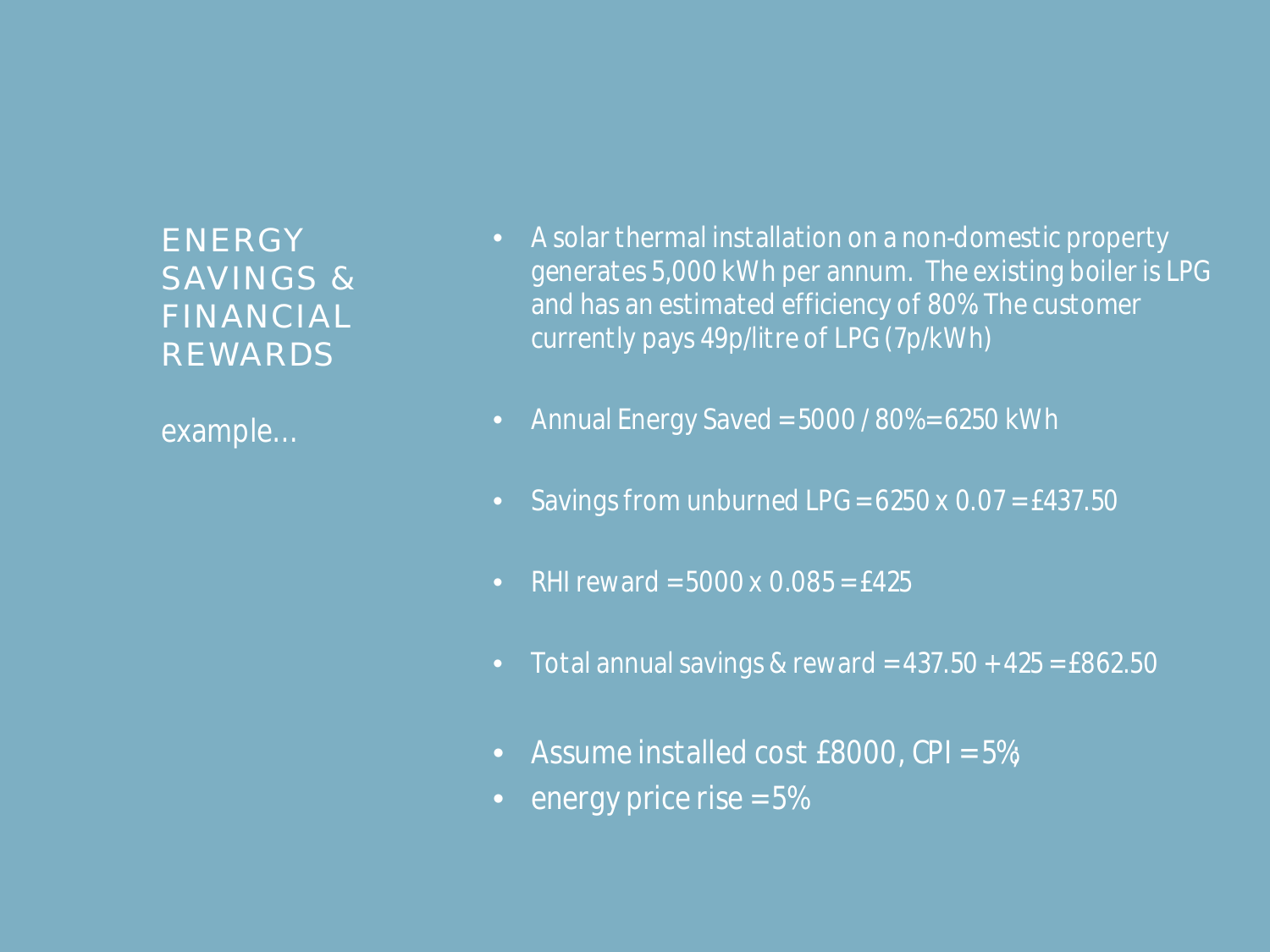**ENERGY** SAVINGS & FINANCIAL REWARDS

*example…*

- *A solar thermal installation on a non-domestic property generates 5,000 kWh per annum. The existing boiler is LPG and has an estimated efficiency of 80%. The customer currently pays 49p/litre of LPG (7p/kWh)*
- *Annual Energy Saved = 5000 / 80% = 6250 kWh*
- *Savings from unburned LPG = 6250 x 0.07 = £437.50*
- *RHI reward = 5000 x 0.085 = £425*
- *Total annual savings & reward = 437.50 + 425 = £862.50*
- *Assume installed cost £8000, CPI = 5%;*
- *energy price rise = 5%*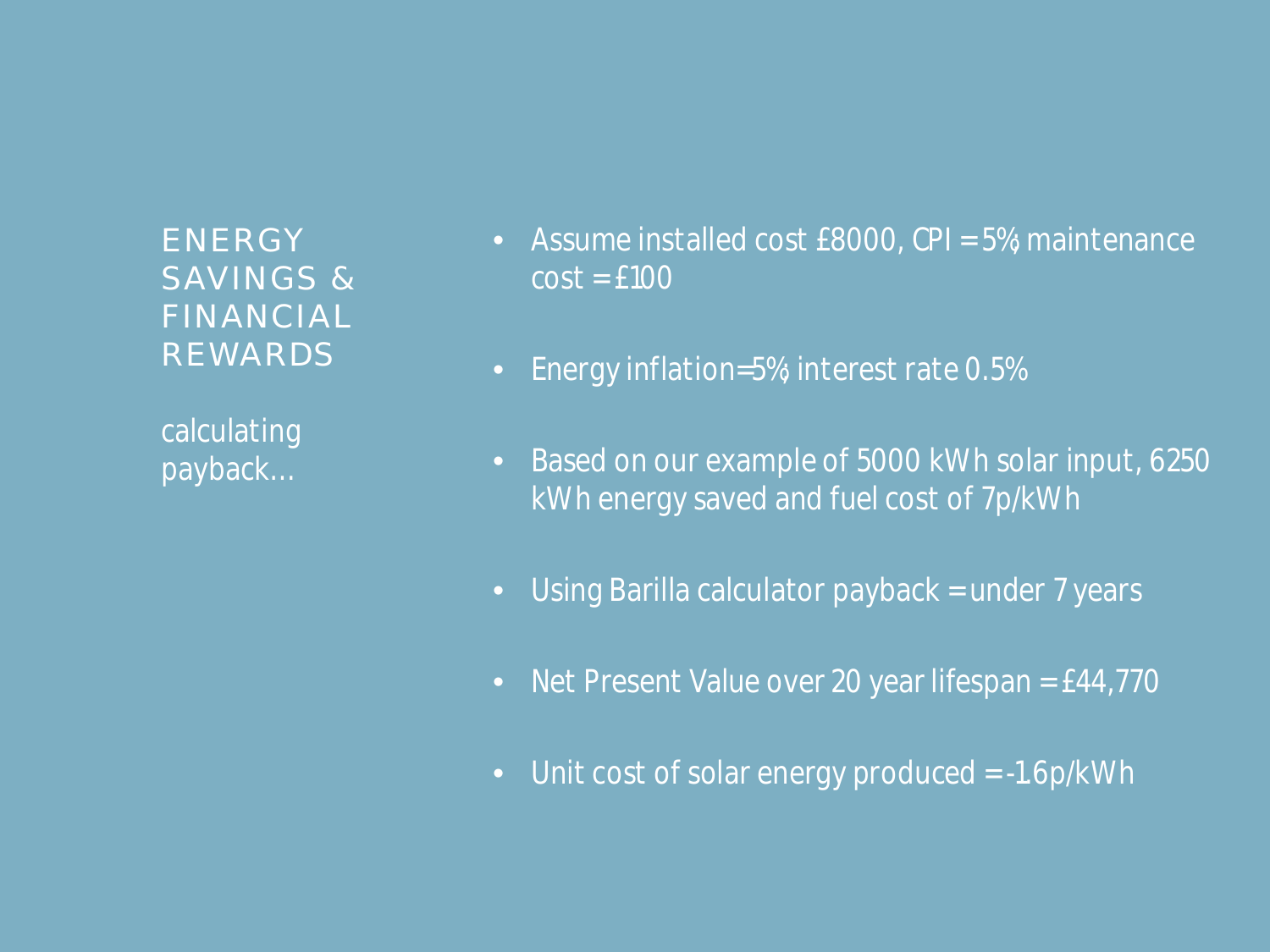**ENERGY** SAVINGS & FINANCIAL REWARDS

*calculating payback…*

- *Assume installed cost £8000, CPI = 5%; maintenance cost = £100*
- *Energy inflation=5%; interest rate 0.5%*
- *Based on our example of 5000 kWh solar input, 6250 kWh energy saved and fuel cost of 7p/kWh*
- *Using Barilla calculator payback = under 7 years*
- *Net Present Value over 20 year lifespan = £44,770*
- *Unit cost of solar energy produced = -1.6p/kWh*